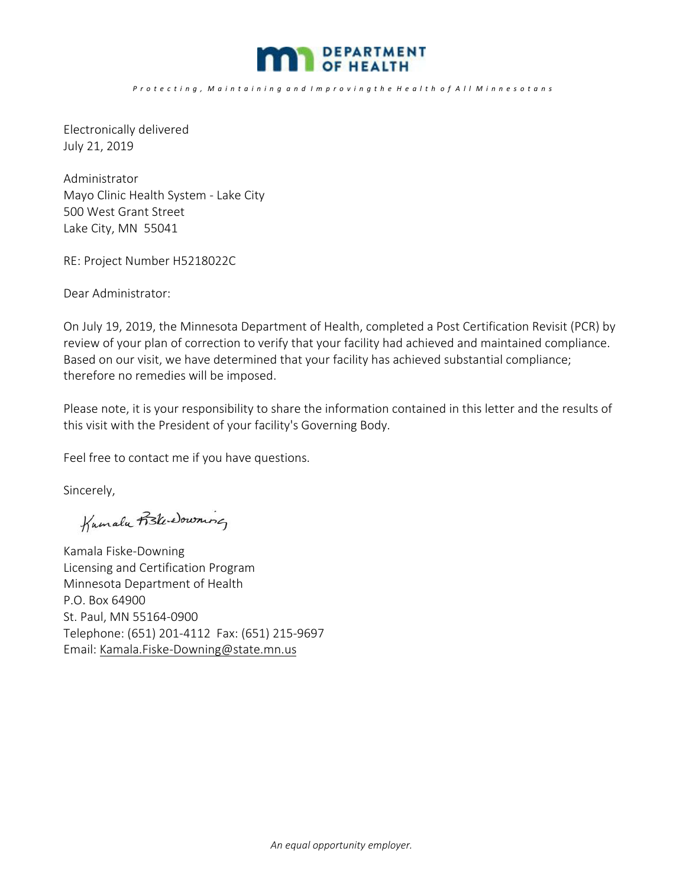

*P r o t e c t i n g , M a i n t a i n i n g a n d I m p r o v i n g t h e H e a l t h o f A l l M i n n e s o t a n s*

Electronically delivered July 21, 2019

Administrator Mayo Clinic Health System ‐ Lake City 500 West Grant Street Lake City, MN 55041

RE: Project Number H5218022C

Dear Administrator:

On July 19, 2019, the Minnesota Department of Health, completed a Post Certification Revisit (PCR) by review of your plan of correction to verify that your facility had achieved and maintained compliance. Based on our visit, we have determined that your facility has achieved substantial compliance; therefore no remedies will be imposed.

Please note, it is your responsibility to share the information contained in this letter and the results of this visit with the President of your facility's Governing Body.

Feel free to contact me if you have questions.

Sincerely,

Kumalu Fiski downing

Kamala Fiske‐Downing Licensing and Certification Program Minnesota Department of Health P.O. Box 64900 St. Paul, MN 55164‐0900 Telephone: (651) 201‐4112 Fax: (651) 215‐9697 Email: Kamala.Fiske‐Downing@state.mn.us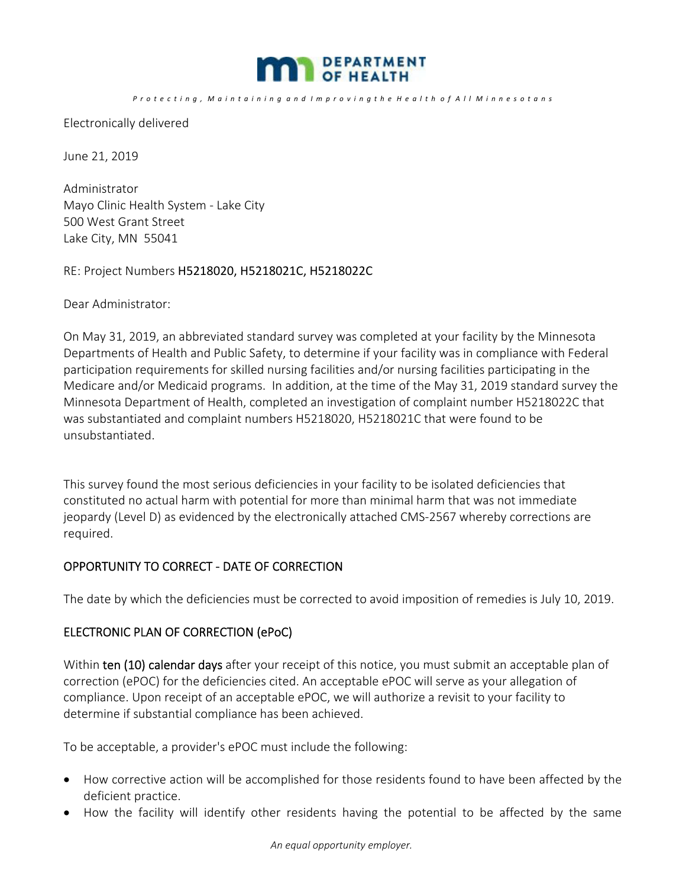

*P r o t e c t i n g , M a i n t a i n i n g a n d I m p r o v i n g t h e H e a l t h o f A l l M i n n e s o t a n s*

Electronically delivered

June 21, 2019

Administrator Mayo Clinic Health System ‐ Lake City 500 West Grant Street Lake City, MN 55041

RE: Project Numbers H5218020, H5218021C, H5218022C

Dear Administrator:

On May 31, 2019, an abbreviated standard survey was completed at your facility by the Minnesota Departments of Health and Public Safety, to determine if your facility was in compliance with Federal participation requirements for skilled nursing facilities and/or nursing facilities participating in the Medicare and/or Medicaid programs. In addition, at the time of the May 31, 2019 standard survey the Minnesota Department of Health, completed an investigation of complaint number H5218022C that was substantiated and complaint numbers H5218020, H5218021C that were found to be unsubstantiated.

This survey found the most serious deficiencies in your facility to be isolated deficiencies that constituted no actual harm with potential for more than minimal harm that was not immediate jeopardy (Level D) as evidenced by the electronically attached CMS‐2567 whereby corrections are required.

### OPPORTUNITY TO CORRECT - DATE OF CORRECTION

The date by which the deficiencies must be corrected to avoid imposition of remedies is July 10, 2019.

### ELECTRONIC PLAN OF CORRECTION (ePoC)

Within ten (10) calendar days after your receipt of this notice, you must submit an acceptable plan of correction (ePOC) for the deficiencies cited. An acceptable ePOC will serve as your allegation of compliance. Upon receipt of an acceptable ePOC, we will authorize a revisit to your facility to determine if substantial compliance has been achieved.

To be acceptable, a provider's ePOC must include the following:

- How corrective action will be accomplished for those residents found to have been affected by the deficient practice.
- How the facility will identify other residents having the potential to be affected by the same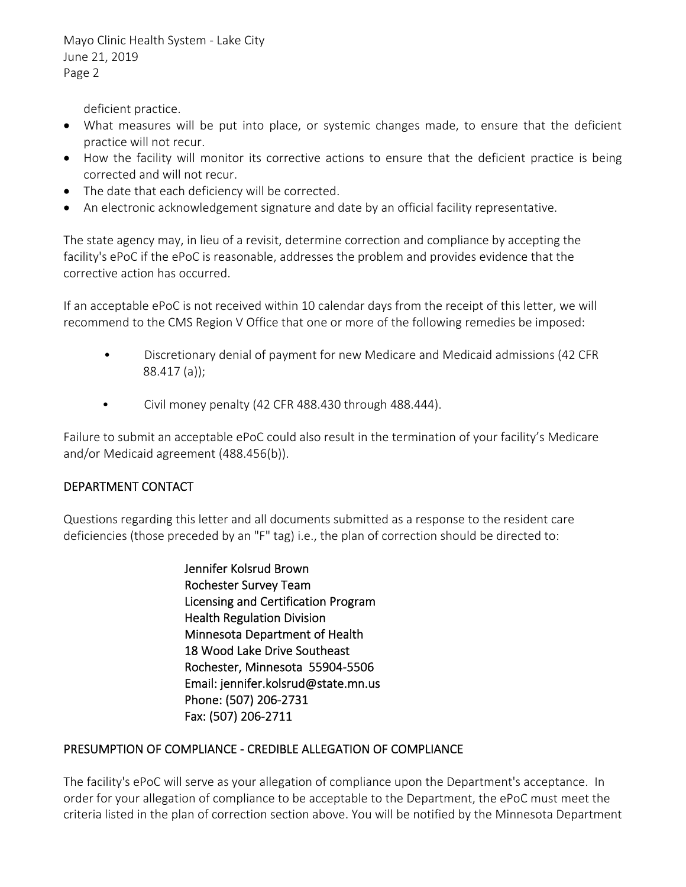Mayo Clinic Health System ‐ Lake City June 21, 2019 Page 2

deficient practice.

- What measures will be put into place, or systemic changes made, to ensure that the deficient practice will not recur.
- How the facility will monitor its corrective actions to ensure that the deficient practice is being corrected and will not recur.
- The date that each deficiency will be corrected.
- An electronic acknowledgement signature and date by an official facility representative.

The state agency may, in lieu of a revisit, determine correction and compliance by accepting the facility's ePoC if the ePoC is reasonable, addresses the problem and provides evidence that the corrective action has occurred.

If an acceptable ePoC is not received within 10 calendar days from the receipt of this letter, we will recommend to the CMS Region V Office that one or more of the following remedies be imposed:

- Discretionary denial of payment for new Medicare and Medicaid admissions (42 CFR 88.417 (a));
- Civil money penalty (42 CFR 488.430 through 488.444).

Failure to submit an acceptable ePoC could also result in the termination of your facility's Medicare and/or Medicaid agreement (488.456(b)).

## DEPARTMENT CONTACT

Questions regarding this letter and all documents submitted as a response to the resident care deficiencies (those preceded by an "F" tag) i.e., the plan of correction should be directed to:

> Jennifer Kolsrud Brown Rochester Survey Team Licensing and Certification Program Health Regulation Division Minnesota Department of Health 18 Wood Lake Drive Southeast Rochester, Minnesota 55904‐5506 Email: jennifer.kolsrud@state.mn.us Phone: (507) 206‐2731 Fax: (507) 206‐2711

## PRESUMPTION OF COMPLIANCE ‐ CREDIBLE ALLEGATION OF COMPLIANCE

The facility's ePoC will serve as your allegation of compliance upon the Department's acceptance. In order for your allegation of compliance to be acceptable to the Department, the ePoC must meet the criteria listed in the plan of correction section above. You will be notified by the Minnesota Department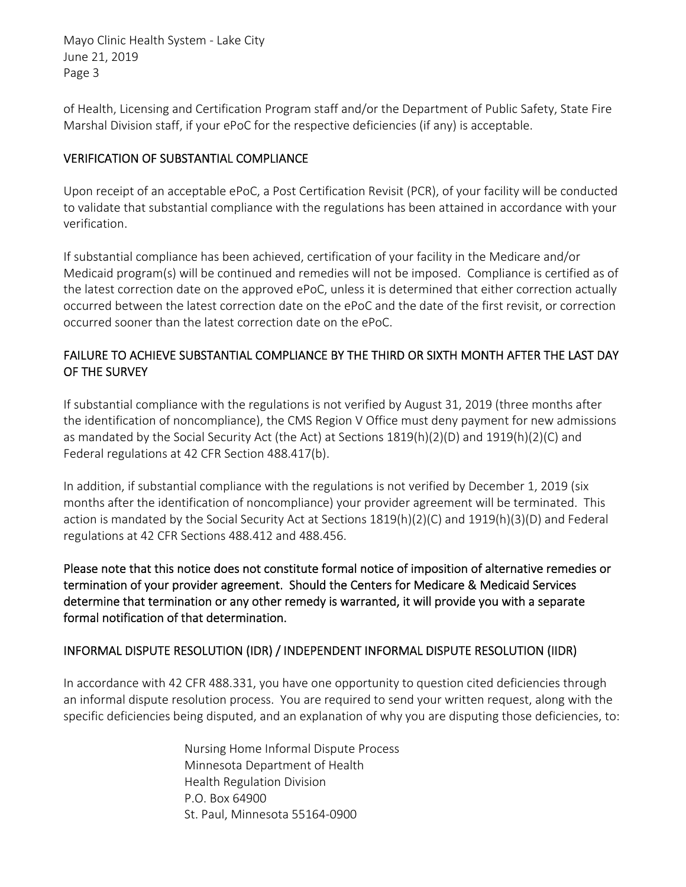Mayo Clinic Health System ‐ Lake City June 21, 2019 Page 3

of Health, Licensing and Certification Program staff and/or the Department of Public Safety, State Fire Marshal Division staff, if your ePoC for the respective deficiencies (if any) is acceptable.

## VERIFICATION OF SUBSTANTIAL COMPLIANCE

Upon receipt of an acceptable ePoC, a Post Certification Revisit (PCR), of your facility will be conducted to validate that substantial compliance with the regulations has been attained in accordance with your verification.

If substantial compliance has been achieved, certification of your facility in the Medicare and/or Medicaid program(s) will be continued and remedies will not be imposed. Compliance is certified as of the latest correction date on the approved ePoC, unless it is determined that either correction actually occurred between the latest correction date on the ePoC and the date of the first revisit, or correction occurred sooner than the latest correction date on the ePoC.

# FAILURE TO ACHIEVE SUBSTANTIAL COMPLIANCE BY THE THIRD OR SIXTH MONTH AFTER THE LAST DAY OF THE SURVEY

If substantial compliance with the regulations is not verified by August 31, 2019 (three months after the identification of noncompliance), the CMS Region V Office must deny payment for new admissions as mandated by the Social Security Act (the Act) at Sections 1819(h)(2)(D) and 1919(h)(2)(C) and Federal regulations at 42 CFR Section 488.417(b).

In addition, if substantial compliance with the regulations is not verified by December 1, 2019 (six months after the identification of noncompliance) your provider agreement will be terminated. This action is mandated by the Social Security Act at Sections 1819(h)(2)(C) and 1919(h)(3)(D) and Federal regulations at 42 CFR Sections 488.412 and 488.456.

Please note that this notice does not constitute formal notice of imposition of alternative remedies or termination of your provider agreement. Should the Centers for Medicare & Medicaid Services determine that termination or any other remedy is warranted, it will provide you with a separate formal notification of that determination.

# INFORMAL DISPUTE RESOLUTION (IDR) / INDEPENDENT INFORMAL DISPUTE RESOLUTION (IIDR)

In accordance with 42 CFR 488.331, you have one opportunity to question cited deficiencies through an informal dispute resolution process. You are required to send your written request, along with the specific deficiencies being disputed, and an explanation of why you are disputing those deficiencies, to:

> Nursing Home Informal Dispute Process Minnesota Department of Health Health Regulation Division P.O. Box 64900 St. Paul, Minnesota 55164‐0900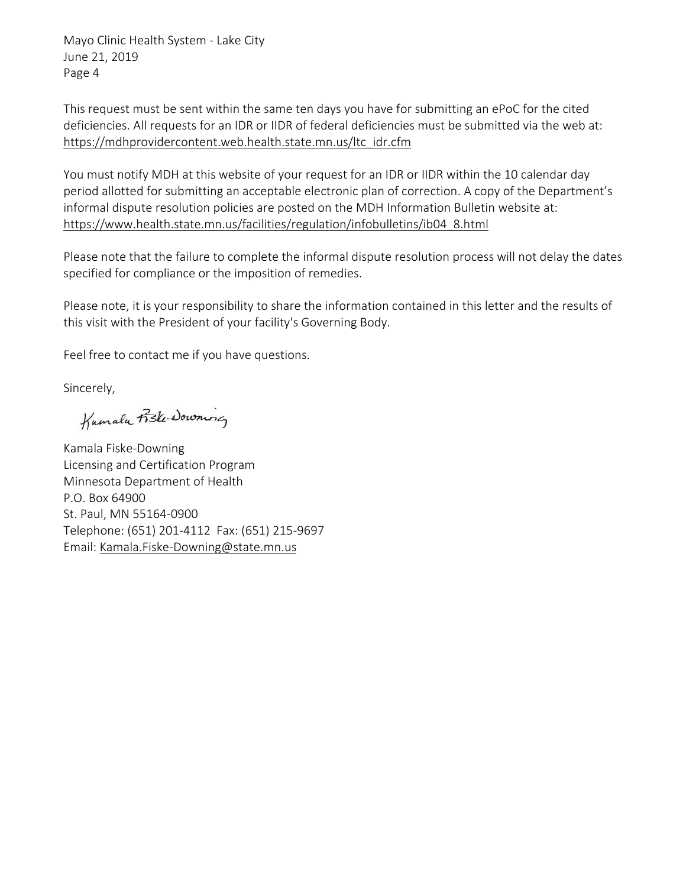Mayo Clinic Health System ‐ Lake City June 21, 2019 Page 4

This request must be sent within the same ten days you have for submitting an ePoC for the cited deficiencies. All requests for an IDR or IIDR of federal deficiencies must be submitted via the web at: https://mdhprovidercontent.web.health.state.mn.us/ltc\_idr.cfm

You must notify MDH at this website of your request for an IDR or IIDR within the 10 calendar day period allotted for submitting an acceptable electronic plan of correction. A copy of the Department's informal dispute resolution policies are posted on the MDH Information Bulletin website at: https://www.health.state.mn.us/facilities/regulation/infobulletins/ib04\_8.html

Please note that the failure to complete the informal dispute resolution process will not delay the dates specified for compliance or the imposition of remedies.

Please note, it is your responsibility to share the information contained in this letter and the results of this visit with the President of your facility's Governing Body.

Feel free to contact me if you have questions.

Sincerely,

 $\overline{u}$ 

Kamala Fiske‐Downing Licensing and Certification Program Minnesota Department of Health P.O. Box 64900 St. Paul, MN 55164‐0900 Telephone: (651) 201‐4112 Fax: (651) 215‐9697 Email: Kamala.Fiske‐Downing@state.mn.us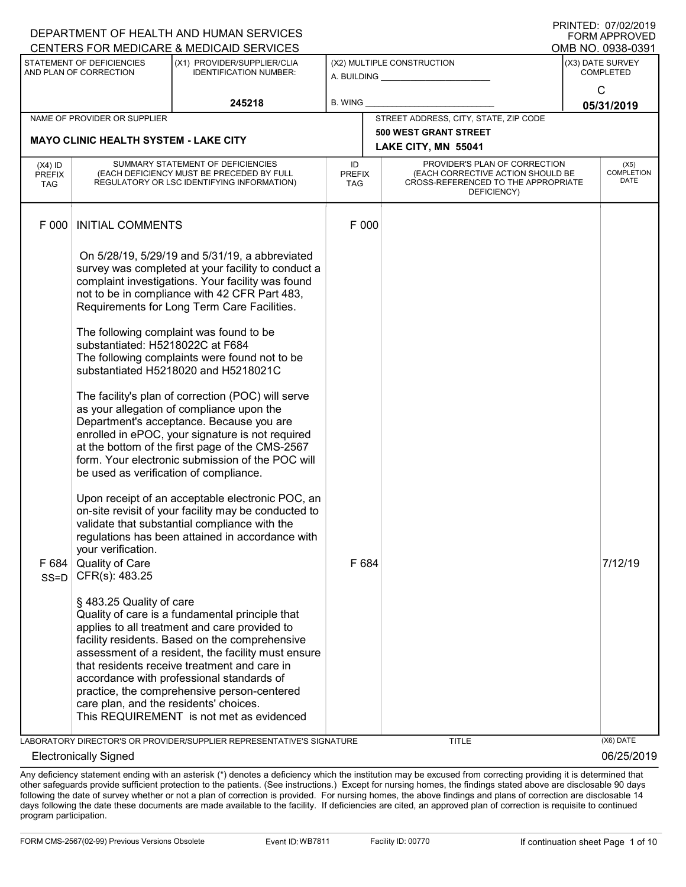|                                        |                                                                            | DEPARTMENT OF HEALTH AND HUMAN SERVICES                                                                                                                                                                                                                                                                                                                                                                                                                                                                                                                                                                                                                                                                                                                     |                                   |                                                                                                                          | FORM APPROVED                                             |
|----------------------------------------|----------------------------------------------------------------------------|-------------------------------------------------------------------------------------------------------------------------------------------------------------------------------------------------------------------------------------------------------------------------------------------------------------------------------------------------------------------------------------------------------------------------------------------------------------------------------------------------------------------------------------------------------------------------------------------------------------------------------------------------------------------------------------------------------------------------------------------------------------|-----------------------------------|--------------------------------------------------------------------------------------------------------------------------|-----------------------------------------------------------|
|                                        | STATEMENT OF DEFICIENCIES<br>AND PLAN OF CORRECTION                        | CENTERS FOR MEDICARE & MEDICAID SERVICES<br>(X1) PROVIDER/SUPPLIER/CLIA<br><b>IDENTIFICATION NUMBER:</b>                                                                                                                                                                                                                                                                                                                                                                                                                                                                                                                                                                                                                                                    |                                   | (X2) MULTIPLE CONSTRUCTION                                                                                               | OMB NO. 0938-0391<br>(X3) DATE SURVEY<br><b>COMPLETED</b> |
|                                        |                                                                            |                                                                                                                                                                                                                                                                                                                                                                                                                                                                                                                                                                                                                                                                                                                                                             |                                   |                                                                                                                          | $\mathsf{C}$                                              |
|                                        |                                                                            | 245218                                                                                                                                                                                                                                                                                                                                                                                                                                                                                                                                                                                                                                                                                                                                                      | <b>B. WING</b>                    |                                                                                                                          | 05/31/2019                                                |
|                                        | NAME OF PROVIDER OR SUPPLIER                                               |                                                                                                                                                                                                                                                                                                                                                                                                                                                                                                                                                                                                                                                                                                                                                             |                                   | STREET ADDRESS, CITY, STATE, ZIP CODE<br><b>500 WEST GRANT STREET</b>                                                    |                                                           |
|                                        | <b>MAYO CLINIC HEALTH SYSTEM - LAKE CITY</b>                               |                                                                                                                                                                                                                                                                                                                                                                                                                                                                                                                                                                                                                                                                                                                                                             |                                   | LAKE CITY, MN 55041                                                                                                      |                                                           |
| (X4) ID<br><b>PREFIX</b><br><b>TAG</b> |                                                                            | SUMMARY STATEMENT OF DEFICIENCIES<br>(EACH DEFICIENCY MUST BE PRECEDED BY FULL<br>REGULATORY OR LSC IDENTIFYING INFORMATION)                                                                                                                                                                                                                                                                                                                                                                                                                                                                                                                                                                                                                                | ID<br><b>PREFIX</b><br><b>TAG</b> | PROVIDER'S PLAN OF CORRECTION<br>(EACH CORRECTIVE ACTION SHOULD BE<br>CROSS-REFERENCED TO THE APPROPRIATE<br>DEFICIENCY) | (X5)<br><b>COMPLETION</b><br>DATE                         |
| F 000                                  | <b>INITIAL COMMENTS</b>                                                    |                                                                                                                                                                                                                                                                                                                                                                                                                                                                                                                                                                                                                                                                                                                                                             | F 000                             |                                                                                                                          |                                                           |
|                                        | substantiated: H5218022C at F684<br>be used as verification of compliance. | On 5/28/19, 5/29/19 and 5/31/19, a abbreviated<br>survey was completed at your facility to conduct a<br>complaint investigations. Your facility was found<br>not to be in compliance with 42 CFR Part 483,<br>Requirements for Long Term Care Facilities.<br>The following complaint was found to be<br>The following complaints were found not to be<br>substantiated H5218020 and H5218021C<br>The facility's plan of correction (POC) will serve<br>as your allegation of compliance upon the<br>Department's acceptance. Because you are<br>enrolled in ePOC, your signature is not required<br>at the bottom of the first page of the CMS-2567<br>form. Your electronic submission of the POC will<br>Upon receipt of an acceptable electronic POC, an |                                   |                                                                                                                          |                                                           |
|                                        | your verification.                                                         | on-site revisit of your facility may be conducted to<br>validate that substantial compliance with the<br>regulations has been attained in accordance with                                                                                                                                                                                                                                                                                                                                                                                                                                                                                                                                                                                                   |                                   |                                                                                                                          |                                                           |
| F 684<br>$SS = D$                      | Quality of Care<br>CFR(s): 483.25                                          |                                                                                                                                                                                                                                                                                                                                                                                                                                                                                                                                                                                                                                                                                                                                                             | F 684                             |                                                                                                                          | 7/12/19                                                   |
|                                        | § 483.25 Quality of care<br>care plan, and the residents' choices.         | Quality of care is a fundamental principle that<br>applies to all treatment and care provided to<br>facility residents. Based on the comprehensive<br>assessment of a resident, the facility must ensure<br>that residents receive treatment and care in<br>accordance with professional standards of<br>practice, the comprehensive person-centered<br>This REQUIREMENT is not met as evidenced                                                                                                                                                                                                                                                                                                                                                            |                                   |                                                                                                                          |                                                           |
|                                        |                                                                            | LABORATORY DIRECTOR'S OR PROVIDER/SUPPLIER REPRESENTATIVE'S SIGNATURE                                                                                                                                                                                                                                                                                                                                                                                                                                                                                                                                                                                                                                                                                       |                                   | <b>TITLE</b>                                                                                                             | (X6) DATE                                                 |
|                                        | <b>Electronically Signed</b>                                               |                                                                                                                                                                                                                                                                                                                                                                                                                                                                                                                                                                                                                                                                                                                                                             |                                   |                                                                                                                          | 06/25/2019                                                |

Any deficiency statement ending with an asterisk (\*) denotes a deficiency which the institution may be excused from correcting providing it is determined that other safeguards provide sufficient protection to the patients. (See instructions.) Except for nursing homes, the findings stated above are disclosable 90 days following the date of survey whether or not a plan of correction is provided. For nursing homes, the above findings and plans of correction are disclosable 14 days following the date these documents are made available to the facility. If deficiencies are cited, an approved plan of correction is requisite to continued program participation.

DEPARTMENT OF HEALTH AND HUMAN SERVICES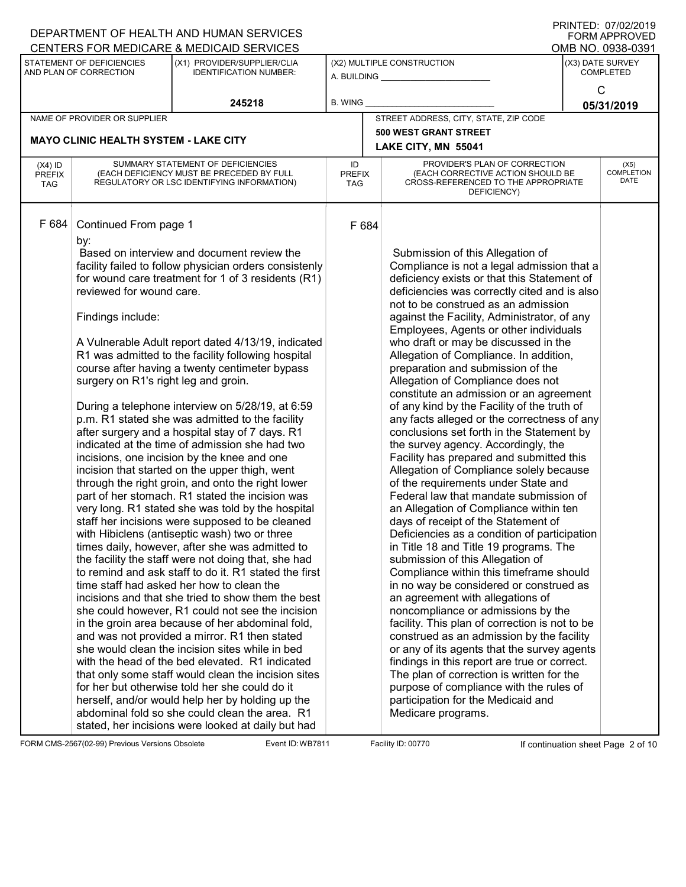|                                          |                                                                                                                       | DEPARTMENT OF HEALTH AND HUMAN SERVICES                                                                                                                                                                                                                                                                                                                                                                                                                                                                                                                                                                                                                                                                                                                                                                                                                                                                                                                                                                                                                                   |                            |                                                                                                                                                                                                                                                                                                                                                                                                                                                                                                                                                                                                                                                                                                                                                                                                                                                                                                                                                                                                                                                                                                                                          | <b>FORM APPROVED</b>                 |
|------------------------------------------|-----------------------------------------------------------------------------------------------------------------------|---------------------------------------------------------------------------------------------------------------------------------------------------------------------------------------------------------------------------------------------------------------------------------------------------------------------------------------------------------------------------------------------------------------------------------------------------------------------------------------------------------------------------------------------------------------------------------------------------------------------------------------------------------------------------------------------------------------------------------------------------------------------------------------------------------------------------------------------------------------------------------------------------------------------------------------------------------------------------------------------------------------------------------------------------------------------------|----------------------------|------------------------------------------------------------------------------------------------------------------------------------------------------------------------------------------------------------------------------------------------------------------------------------------------------------------------------------------------------------------------------------------------------------------------------------------------------------------------------------------------------------------------------------------------------------------------------------------------------------------------------------------------------------------------------------------------------------------------------------------------------------------------------------------------------------------------------------------------------------------------------------------------------------------------------------------------------------------------------------------------------------------------------------------------------------------------------------------------------------------------------------------|--------------------------------------|
|                                          |                                                                                                                       | CENTERS FOR MEDICARE & MEDICAID SERVICES                                                                                                                                                                                                                                                                                                                                                                                                                                                                                                                                                                                                                                                                                                                                                                                                                                                                                                                                                                                                                                  |                            |                                                                                                                                                                                                                                                                                                                                                                                                                                                                                                                                                                                                                                                                                                                                                                                                                                                                                                                                                                                                                                                                                                                                          | OMB NO. 0938-0391                    |
|                                          | STATEMENT OF DEFICIENCIES<br>AND PLAN OF CORRECTION                                                                   | (X1) PROVIDER/SUPPLIER/CLIA<br><b>IDENTIFICATION NUMBER:</b>                                                                                                                                                                                                                                                                                                                                                                                                                                                                                                                                                                                                                                                                                                                                                                                                                                                                                                                                                                                                              |                            | (X2) MULTIPLE CONSTRUCTION<br>A. BUILDING <u>___________________</u>                                                                                                                                                                                                                                                                                                                                                                                                                                                                                                                                                                                                                                                                                                                                                                                                                                                                                                                                                                                                                                                                     | (X3) DATE SURVEY<br><b>COMPLETED</b> |
|                                          |                                                                                                                       | 245218                                                                                                                                                                                                                                                                                                                                                                                                                                                                                                                                                                                                                                                                                                                                                                                                                                                                                                                                                                                                                                                                    | B. WING                    |                                                                                                                                                                                                                                                                                                                                                                                                                                                                                                                                                                                                                                                                                                                                                                                                                                                                                                                                                                                                                                                                                                                                          | C<br>05/31/2019                      |
|                                          | NAME OF PROVIDER OR SUPPLIER                                                                                          |                                                                                                                                                                                                                                                                                                                                                                                                                                                                                                                                                                                                                                                                                                                                                                                                                                                                                                                                                                                                                                                                           |                            | STREET ADDRESS, CITY, STATE, ZIP CODE                                                                                                                                                                                                                                                                                                                                                                                                                                                                                                                                                                                                                                                                                                                                                                                                                                                                                                                                                                                                                                                                                                    |                                      |
|                                          |                                                                                                                       |                                                                                                                                                                                                                                                                                                                                                                                                                                                                                                                                                                                                                                                                                                                                                                                                                                                                                                                                                                                                                                                                           |                            | <b>500 WEST GRANT STREET</b>                                                                                                                                                                                                                                                                                                                                                                                                                                                                                                                                                                                                                                                                                                                                                                                                                                                                                                                                                                                                                                                                                                             |                                      |
|                                          | <b>MAYO CLINIC HEALTH SYSTEM - LAKE CITY</b>                                                                          |                                                                                                                                                                                                                                                                                                                                                                                                                                                                                                                                                                                                                                                                                                                                                                                                                                                                                                                                                                                                                                                                           |                            | LAKE CITY, MN 55041                                                                                                                                                                                                                                                                                                                                                                                                                                                                                                                                                                                                                                                                                                                                                                                                                                                                                                                                                                                                                                                                                                                      |                                      |
| $(X4)$ ID<br><b>PREFIX</b><br><b>TAG</b> |                                                                                                                       | SUMMARY STATEMENT OF DEFICIENCIES<br>(EACH DEFICIENCY MUST BE PRECEDED BY FULL<br>REGULATORY OR LSC IDENTIFYING INFORMATION)                                                                                                                                                                                                                                                                                                                                                                                                                                                                                                                                                                                                                                                                                                                                                                                                                                                                                                                                              | ID<br><b>PREFIX</b><br>TAG | PROVIDER'S PLAN OF CORRECTION<br>(EACH CORRECTIVE ACTION SHOULD BE<br>CROSS-REFERENCED TO THE APPROPRIATE<br>DEFICIENCY)                                                                                                                                                                                                                                                                                                                                                                                                                                                                                                                                                                                                                                                                                                                                                                                                                                                                                                                                                                                                                 | (X5)<br><b>COMPLETION</b><br>DATE    |
| F 684                                    | Continued From page 1<br>by:<br>reviewed for wound care.<br>Findings include:<br>surgery on R1's right leg and groin. | Based on interview and document review the<br>facility failed to follow physician orders consistenly<br>for wound care treatment for 1 of 3 residents (R1)<br>A Vulnerable Adult report dated 4/13/19, indicated<br>R1 was admitted to the facility following hospital<br>course after having a twenty centimeter bypass<br>During a telephone interview on 5/28/19, at 6:59<br>p.m. R1 stated she was admitted to the facility<br>after surgery and a hospital stay of 7 days. R1<br>indicated at the time of admission she had two<br>incisions, one incision by the knee and one<br>incision that started on the upper thigh, went<br>through the right groin, and onto the right lower<br>part of her stomach. R1 stated the incision was<br>very long. R1 stated she was told by the hospital<br>staff her incisions were supposed to be cleaned<br>with Hibiclens (antiseptic wash) two or three<br>times daily, however, after she was admitted to<br>the facility the staff were not doing that, she had<br>to remind and ask staff to do it. R1 stated the first | F 684                      | Submission of this Allegation of<br>Compliance is not a legal admission that a<br>deficiency exists or that this Statement of<br>deficiencies was correctly cited and is also<br>not to be construed as an admission<br>against the Facility, Administrator, of any<br>Employees, Agents or other individuals<br>who draft or may be discussed in the<br>Allegation of Compliance. In addition,<br>preparation and submission of the<br>Allegation of Compliance does not<br>constitute an admission or an agreement<br>of any kind by the Facility of the truth of<br>any facts alleged or the correctness of any<br>conclusions set forth in the Statement by<br>the survey agency. Accordingly, the<br>Facility has prepared and submitted this<br>Allegation of Compliance solely because<br>of the requirements under State and<br>Federal law that mandate submission of<br>an Allegation of Compliance within ten<br>days of receipt of the Statement of<br>Deficiencies as a condition of participation<br>in Title 18 and Title 19 programs. The<br>submission of this Allegation of<br>Compliance within this timeframe should |                                      |
|                                          |                                                                                                                       | time staff had asked her how to clean the<br>incisions and that she tried to show them the best<br>she could however, R1 could not see the incision<br>in the groin area because of her abdominal fold,                                                                                                                                                                                                                                                                                                                                                                                                                                                                                                                                                                                                                                                                                                                                                                                                                                                                   |                            | in no way be considered or construed as<br>an agreement with allegations of<br>noncompliance or admissions by the<br>facility. This plan of correction is not to be                                                                                                                                                                                                                                                                                                                                                                                                                                                                                                                                                                                                                                                                                                                                                                                                                                                                                                                                                                      |                                      |
|                                          |                                                                                                                       | and was not provided a mirror. R1 then stated<br>she would clean the incision sites while in bed<br>with the head of the bed elevated. R1 indicated<br>that only some staff would clean the incision sites<br>for her but otherwise told her she could do it<br>herself, and/or would help her by holding up the<br>abdominal fold so she could clean the area. R1<br>stated, her incisions were looked at daily but had                                                                                                                                                                                                                                                                                                                                                                                                                                                                                                                                                                                                                                                  |                            | construed as an admission by the facility<br>or any of its agents that the survey agents<br>findings in this report are true or correct.<br>The plan of correction is written for the<br>purpose of compliance with the rules of<br>participation for the Medicaid and<br>Medicare programs.                                                                                                                                                                                                                                                                                                                                                                                                                                                                                                                                                                                                                                                                                                                                                                                                                                             |                                      |

FORM CMS-2567(02-99) Previous Versions Obsolete Event ID: WB7811 Facility ID: 00770 If continuation sheet Page 2 of 10

DEPARTMENT OF HEALTH AND HUMAN SERVICES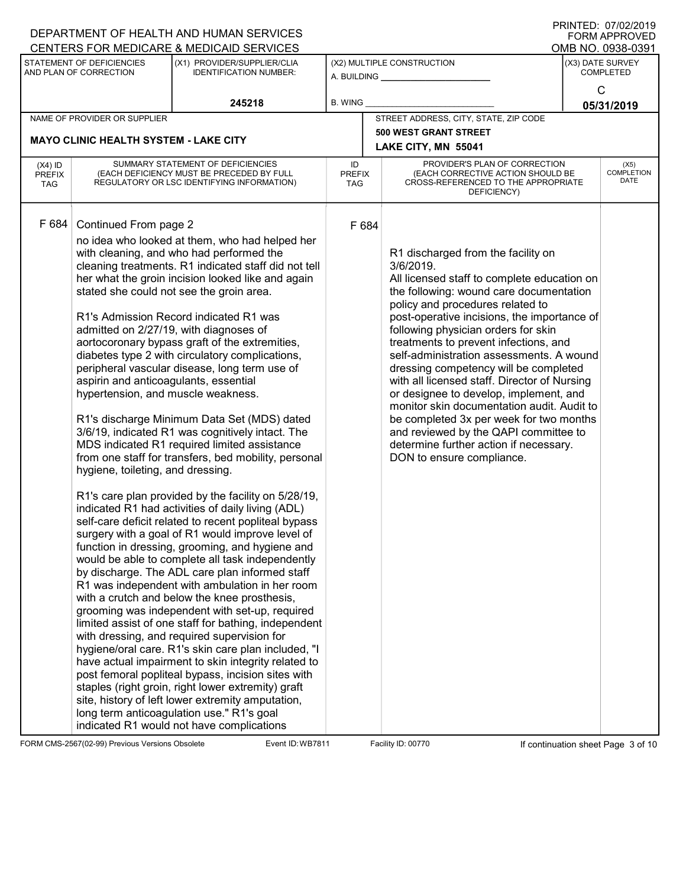|                                          |                                                                                                                                           | DEPARTMENT OF HEALTH AND HUMAN SERVICES                                                                                                                                                                                                                                                                                                                                                                                                                                                                                                                                                                                                                                                                                                                                                                                                                                                                                                                                                                                                                                                                                                                                                                                                                                                                                                                                                                                                                                                                                                                                                                                                                                                                                       |                            |                                                                                                                                                                                                                                                                                                                                                                                                                                                                                                                                                                                                                                                                                                      | <b>FORM APPROVED</b>                 |
|------------------------------------------|-------------------------------------------------------------------------------------------------------------------------------------------|-------------------------------------------------------------------------------------------------------------------------------------------------------------------------------------------------------------------------------------------------------------------------------------------------------------------------------------------------------------------------------------------------------------------------------------------------------------------------------------------------------------------------------------------------------------------------------------------------------------------------------------------------------------------------------------------------------------------------------------------------------------------------------------------------------------------------------------------------------------------------------------------------------------------------------------------------------------------------------------------------------------------------------------------------------------------------------------------------------------------------------------------------------------------------------------------------------------------------------------------------------------------------------------------------------------------------------------------------------------------------------------------------------------------------------------------------------------------------------------------------------------------------------------------------------------------------------------------------------------------------------------------------------------------------------------------------------------------------------|----------------------------|------------------------------------------------------------------------------------------------------------------------------------------------------------------------------------------------------------------------------------------------------------------------------------------------------------------------------------------------------------------------------------------------------------------------------------------------------------------------------------------------------------------------------------------------------------------------------------------------------------------------------------------------------------------------------------------------------|--------------------------------------|
|                                          |                                                                                                                                           | CENTERS FOR MEDICARE & MEDICAID SERVICES                                                                                                                                                                                                                                                                                                                                                                                                                                                                                                                                                                                                                                                                                                                                                                                                                                                                                                                                                                                                                                                                                                                                                                                                                                                                                                                                                                                                                                                                                                                                                                                                                                                                                      |                            |                                                                                                                                                                                                                                                                                                                                                                                                                                                                                                                                                                                                                                                                                                      | OMB NO. 0938-0391                    |
|                                          | STATEMENT OF DEFICIENCIES<br>AND PLAN OF CORRECTION                                                                                       | (X1) PROVIDER/SUPPLIER/CLIA<br><b>IDENTIFICATION NUMBER:</b>                                                                                                                                                                                                                                                                                                                                                                                                                                                                                                                                                                                                                                                                                                                                                                                                                                                                                                                                                                                                                                                                                                                                                                                                                                                                                                                                                                                                                                                                                                                                                                                                                                                                  |                            | (X2) MULTIPLE CONSTRUCTION<br>A. BUILDING <u>___________________</u>                                                                                                                                                                                                                                                                                                                                                                                                                                                                                                                                                                                                                                 | (X3) DATE SURVEY<br><b>COMPLETED</b> |
|                                          |                                                                                                                                           | 245218                                                                                                                                                                                                                                                                                                                                                                                                                                                                                                                                                                                                                                                                                                                                                                                                                                                                                                                                                                                                                                                                                                                                                                                                                                                                                                                                                                                                                                                                                                                                                                                                                                                                                                                        | <b>B. WING</b>             |                                                                                                                                                                                                                                                                                                                                                                                                                                                                                                                                                                                                                                                                                                      | $\mathsf{C}$<br>05/31/2019           |
|                                          | NAME OF PROVIDER OR SUPPLIER                                                                                                              |                                                                                                                                                                                                                                                                                                                                                                                                                                                                                                                                                                                                                                                                                                                                                                                                                                                                                                                                                                                                                                                                                                                                                                                                                                                                                                                                                                                                                                                                                                                                                                                                                                                                                                                               |                            | STREET ADDRESS, CITY, STATE, ZIP CODE                                                                                                                                                                                                                                                                                                                                                                                                                                                                                                                                                                                                                                                                |                                      |
|                                          | <b>MAYO CLINIC HEALTH SYSTEM - LAKE CITY</b>                                                                                              |                                                                                                                                                                                                                                                                                                                                                                                                                                                                                                                                                                                                                                                                                                                                                                                                                                                                                                                                                                                                                                                                                                                                                                                                                                                                                                                                                                                                                                                                                                                                                                                                                                                                                                                               |                            | <b>500 WEST GRANT STREET</b>                                                                                                                                                                                                                                                                                                                                                                                                                                                                                                                                                                                                                                                                         |                                      |
|                                          |                                                                                                                                           |                                                                                                                                                                                                                                                                                                                                                                                                                                                                                                                                                                                                                                                                                                                                                                                                                                                                                                                                                                                                                                                                                                                                                                                                                                                                                                                                                                                                                                                                                                                                                                                                                                                                                                                               |                            | LAKE CITY, MN 55041                                                                                                                                                                                                                                                                                                                                                                                                                                                                                                                                                                                                                                                                                  |                                      |
| $(X4)$ ID<br><b>PREFIX</b><br><b>TAG</b> |                                                                                                                                           | SUMMARY STATEMENT OF DEFICIENCIES<br>(EACH DEFICIENCY MUST BE PRECEDED BY FULL<br>REGULATORY OR LSC IDENTIFYING INFORMATION)                                                                                                                                                                                                                                                                                                                                                                                                                                                                                                                                                                                                                                                                                                                                                                                                                                                                                                                                                                                                                                                                                                                                                                                                                                                                                                                                                                                                                                                                                                                                                                                                  | ID<br><b>PREFIX</b><br>TAG | PROVIDER'S PLAN OF CORRECTION<br>(EACH CORRECTIVE ACTION SHOULD BE<br>CROSS-REFERENCED TO THE APPROPRIATE<br>DEFICIENCY)                                                                                                                                                                                                                                                                                                                                                                                                                                                                                                                                                                             | (X5)<br><b>COMPLETION</b><br>DATE    |
| F 684                                    | Continued From page 2<br>aspirin and anticoagulants, essential<br>hypertension, and muscle weakness.<br>hygiene, toileting, and dressing. | no idea who looked at them, who had helped her<br>with cleaning, and who had performed the<br>cleaning treatments. R1 indicated staff did not tell<br>her what the groin incision looked like and again<br>stated she could not see the groin area.<br>R1's Admission Record indicated R1 was<br>admitted on 2/27/19, with diagnoses of<br>aortocoronary bypass graft of the extremities,<br>diabetes type 2 with circulatory complications,<br>peripheral vascular disease, long term use of<br>R1's discharge Minimum Data Set (MDS) dated<br>3/6/19, indicated R1 was cognitively intact. The<br>MDS indicated R1 required limited assistance<br>from one staff for transfers, bed mobility, personal<br>R1's care plan provided by the facility on 5/28/19,<br>indicated R1 had activities of daily living (ADL)<br>self-care deficit related to recent popliteal bypass<br>surgery with a goal of R1 would improve level of<br>function in dressing, grooming, and hygiene and<br>would be able to complete all task independently<br>by discharge. The ADL care plan informed staff<br>R1 was independent with ambulation in her room<br>with a crutch and below the knee prosthesis,<br>grooming was independent with set-up, required<br>limited assist of one staff for bathing, independent<br>with dressing, and required supervision for<br>hygiene/oral care. R1's skin care plan included, "I<br>have actual impairment to skin integrity related to<br>post femoral popliteal bypass, incision sites with<br>staples (right groin, right lower extremity) graft<br>site, history of left lower extremity amputation,<br>long term anticoagulation use." R1's goal<br>indicated R1 would not have complications | F 684                      | R1 discharged from the facility on<br>3/6/2019.<br>All licensed staff to complete education on<br>the following: wound care documentation<br>policy and procedures related to<br>post-operative incisions, the importance of<br>following physician orders for skin<br>treatments to prevent infections, and<br>self-administration assessments. A wound<br>dressing competency will be completed<br>with all licensed staff. Director of Nursing<br>or designee to develop, implement, and<br>monitor skin documentation audit. Audit to<br>be completed 3x per week for two months<br>and reviewed by the QAPI committee to<br>determine further action if necessary.<br>DON to ensure compliance. |                                      |

FORM CMS-2567(02-99) Previous Versions Obsolete Event ID: WB7811 Facility ID: 00770 If continuation sheet Page 3 of 10

DEPARTMENT OF HEALTH AND HUMAN SERVICES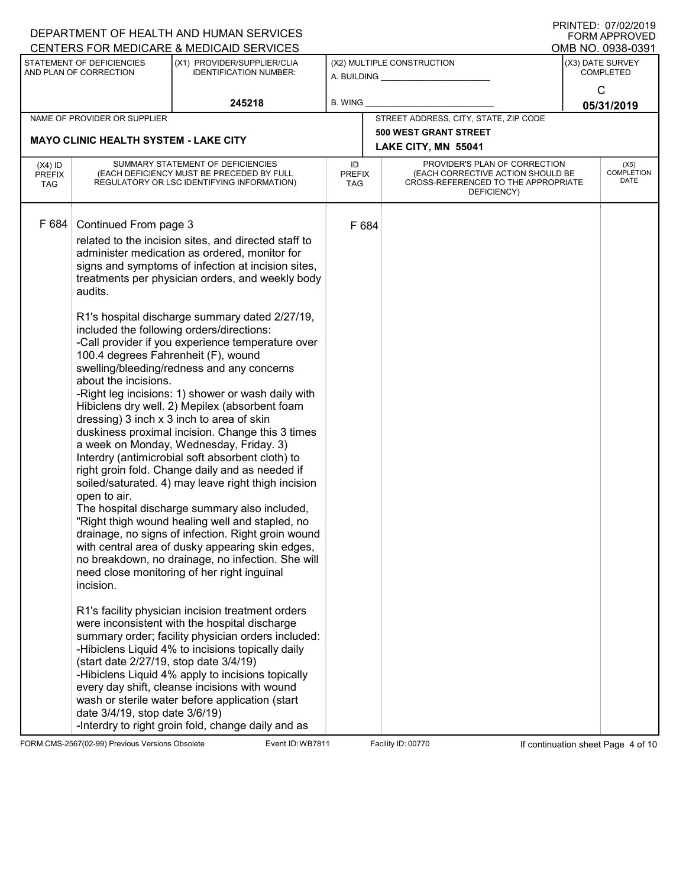|                                   |                                                                                                                                                                                                          | DEPARTMENT OF HEALTH AND HUMAN SERVICES                                                                                                                                                                                                                                                                                                                                                                                                                                                                                                                                                                                                                                                                                                                                                                                                                                                                                                                                                                                                                                                                                                                                                                                                                                                                                                                                                                                                                                                                                                                                               |                                   |       |                                                                                                                          | I ININILLY. VIIVZIZVIJ<br><b>FORM APPROVED</b> |
|-----------------------------------|----------------------------------------------------------------------------------------------------------------------------------------------------------------------------------------------------------|---------------------------------------------------------------------------------------------------------------------------------------------------------------------------------------------------------------------------------------------------------------------------------------------------------------------------------------------------------------------------------------------------------------------------------------------------------------------------------------------------------------------------------------------------------------------------------------------------------------------------------------------------------------------------------------------------------------------------------------------------------------------------------------------------------------------------------------------------------------------------------------------------------------------------------------------------------------------------------------------------------------------------------------------------------------------------------------------------------------------------------------------------------------------------------------------------------------------------------------------------------------------------------------------------------------------------------------------------------------------------------------------------------------------------------------------------------------------------------------------------------------------------------------------------------------------------------------|-----------------------------------|-------|--------------------------------------------------------------------------------------------------------------------------|------------------------------------------------|
|                                   |                                                                                                                                                                                                          | CENTERS FOR MEDICARE & MEDICAID SERVICES                                                                                                                                                                                                                                                                                                                                                                                                                                                                                                                                                                                                                                                                                                                                                                                                                                                                                                                                                                                                                                                                                                                                                                                                                                                                                                                                                                                                                                                                                                                                              |                                   |       |                                                                                                                          | OMB NO. 0938-0391                              |
|                                   | STATEMENT OF DEFICIENCIES<br>AND PLAN OF CORRECTION                                                                                                                                                      | (X1) PROVIDER/SUPPLIER/CLIA<br><b>IDENTIFICATION NUMBER:</b>                                                                                                                                                                                                                                                                                                                                                                                                                                                                                                                                                                                                                                                                                                                                                                                                                                                                                                                                                                                                                                                                                                                                                                                                                                                                                                                                                                                                                                                                                                                          |                                   |       | (X2) MULTIPLE CONSTRUCTION<br>A. BUILDING <b>A.</b> BUILDING                                                             | (X3) DATE SURVEY<br><b>COMPLETED</b>           |
|                                   |                                                                                                                                                                                                          | 245218                                                                                                                                                                                                                                                                                                                                                                                                                                                                                                                                                                                                                                                                                                                                                                                                                                                                                                                                                                                                                                                                                                                                                                                                                                                                                                                                                                                                                                                                                                                                                                                | <b>B. WING</b>                    |       |                                                                                                                          | C<br>05/31/2019                                |
|                                   | NAME OF PROVIDER OR SUPPLIER                                                                                                                                                                             |                                                                                                                                                                                                                                                                                                                                                                                                                                                                                                                                                                                                                                                                                                                                                                                                                                                                                                                                                                                                                                                                                                                                                                                                                                                                                                                                                                                                                                                                                                                                                                                       |                                   |       | STREET ADDRESS, CITY, STATE, ZIP CODE                                                                                    |                                                |
|                                   |                                                                                                                                                                                                          |                                                                                                                                                                                                                                                                                                                                                                                                                                                                                                                                                                                                                                                                                                                                                                                                                                                                                                                                                                                                                                                                                                                                                                                                                                                                                                                                                                                                                                                                                                                                                                                       |                                   |       | <b>500 WEST GRANT STREET</b>                                                                                             |                                                |
|                                   | <b>MAYO CLINIC HEALTH SYSTEM - LAKE CITY</b>                                                                                                                                                             |                                                                                                                                                                                                                                                                                                                                                                                                                                                                                                                                                                                                                                                                                                                                                                                                                                                                                                                                                                                                                                                                                                                                                                                                                                                                                                                                                                                                                                                                                                                                                                                       |                                   |       | LAKE CITY, MN 55041                                                                                                      |                                                |
| $(X4)$ ID<br><b>PREFIX</b><br>TAG |                                                                                                                                                                                                          | SUMMARY STATEMENT OF DEFICIENCIES<br>(EACH DEFICIENCY MUST BE PRECEDED BY FULL<br>REGULATORY OR LSC IDENTIFYING INFORMATION)                                                                                                                                                                                                                                                                                                                                                                                                                                                                                                                                                                                                                                                                                                                                                                                                                                                                                                                                                                                                                                                                                                                                                                                                                                                                                                                                                                                                                                                          | ID<br><b>PREFIX</b><br><b>TAG</b> |       | PROVIDER'S PLAN OF CORRECTION<br>(EACH CORRECTIVE ACTION SHOULD BE<br>CROSS-REFERENCED TO THE APPROPRIATE<br>DEFICIENCY) | (X5)<br><b>COMPLETION</b><br>DATE              |
| F 684                             | Continued From page 3<br>audits.<br>100.4 degrees Fahrenheit (F), wound<br>about the incisions.<br>open to air.<br>incision.<br>(start date 2/27/19, stop date 3/4/19)<br>date 3/4/19, stop date 3/6/19) | related to the incision sites, and directed staff to<br>administer medication as ordered, monitor for<br>signs and symptoms of infection at incision sites,<br>treatments per physician orders, and weekly body<br>R1's hospital discharge summary dated 2/27/19,<br>included the following orders/directions:<br>-Call provider if you experience temperature over<br>swelling/bleeding/redness and any concerns<br>-Right leg incisions: 1) shower or wash daily with<br>Hibiclens dry well. 2) Mepilex (absorbent foam<br>dressing) 3 inch x 3 inch to area of skin<br>duskiness proximal incision. Change this 3 times<br>a week on Monday, Wednesday, Friday. 3)<br>Interdry (antimicrobial soft absorbent cloth) to<br>right groin fold. Change daily and as needed if<br>soiled/saturated. 4) may leave right thigh incision<br>The hospital discharge summary also included,<br>"Right thigh wound healing well and stapled, no<br>drainage, no signs of infection. Right groin wound<br>with central area of dusky appearing skin edges,<br>no breakdown, no drainage, no infection. She will<br>need close monitoring of her right inguinal<br>R1's facility physician incision treatment orders<br>were inconsistent with the hospital discharge<br>summary order; facility physician orders included:<br>-Hibiclens Liquid 4% to incisions topically daily<br>-Hibiclens Liquid 4% apply to incisions topically<br>every day shift, cleanse incisions with wound<br>wash or sterile water before application (start<br>-Interdry to right groin fold, change daily and as |                                   | F 684 |                                                                                                                          |                                                |

FORM CMS-2567(02-99) Previous Versions Obsolete Event ID: WB7811 Facility ID: 00770 If continuation sheet Page 4 of 10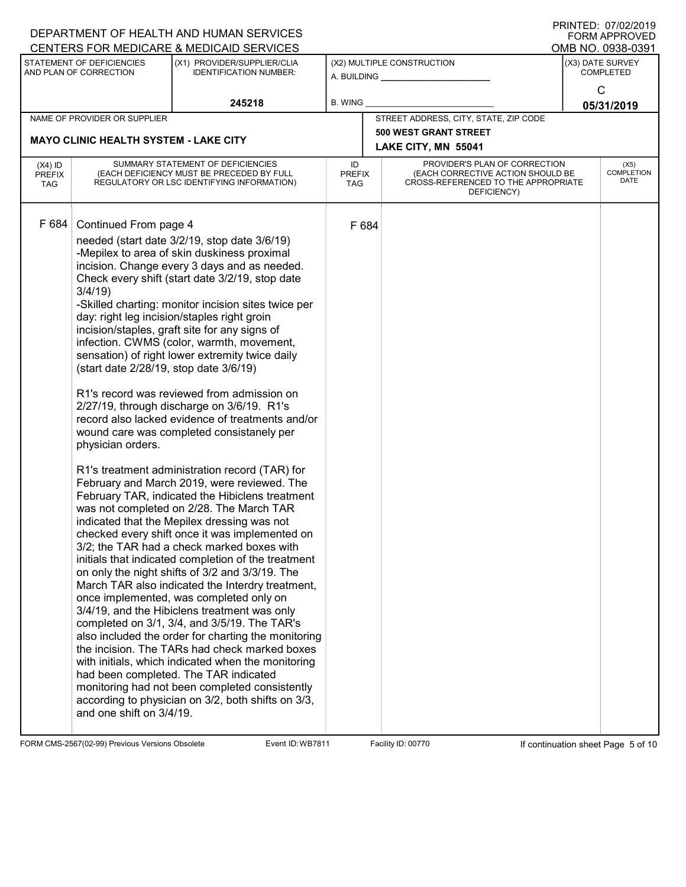|                                          |                                                                                                                            | DEPARTMENT OF HEALTH AND HUMAN SERVICES                                                                                                                                                                                                                                                                                                                                                                                                                                                                                                                                                                                                                                                                                                                                                                                                                                                                                                                                                                                                                                                                                                                                                                                                                                                                                                                                                                                                                                                                                                                                                                                   |                            |                                                                                                                          | <b>FORM APPROVED</b>                 |
|------------------------------------------|----------------------------------------------------------------------------------------------------------------------------|---------------------------------------------------------------------------------------------------------------------------------------------------------------------------------------------------------------------------------------------------------------------------------------------------------------------------------------------------------------------------------------------------------------------------------------------------------------------------------------------------------------------------------------------------------------------------------------------------------------------------------------------------------------------------------------------------------------------------------------------------------------------------------------------------------------------------------------------------------------------------------------------------------------------------------------------------------------------------------------------------------------------------------------------------------------------------------------------------------------------------------------------------------------------------------------------------------------------------------------------------------------------------------------------------------------------------------------------------------------------------------------------------------------------------------------------------------------------------------------------------------------------------------------------------------------------------------------------------------------------------|----------------------------|--------------------------------------------------------------------------------------------------------------------------|--------------------------------------|
|                                          |                                                                                                                            | CENTERS FOR MEDICARE & MEDICAID SERVICES                                                                                                                                                                                                                                                                                                                                                                                                                                                                                                                                                                                                                                                                                                                                                                                                                                                                                                                                                                                                                                                                                                                                                                                                                                                                                                                                                                                                                                                                                                                                                                                  |                            |                                                                                                                          | OMB NO. 0938-0391                    |
|                                          | STATEMENT OF DEFICIENCIES<br>AND PLAN OF CORRECTION                                                                        | (X1) PROVIDER/SUPPLIER/CLIA<br><b>IDENTIFICATION NUMBER:</b>                                                                                                                                                                                                                                                                                                                                                                                                                                                                                                                                                                                                                                                                                                                                                                                                                                                                                                                                                                                                                                                                                                                                                                                                                                                                                                                                                                                                                                                                                                                                                              | A. BUILDING __             | (X2) MULTIPLE CONSTRUCTION                                                                                               | (X3) DATE SURVEY<br><b>COMPLETED</b> |
|                                          |                                                                                                                            | 245218                                                                                                                                                                                                                                                                                                                                                                                                                                                                                                                                                                                                                                                                                                                                                                                                                                                                                                                                                                                                                                                                                                                                                                                                                                                                                                                                                                                                                                                                                                                                                                                                                    | <b>B. WING</b>             |                                                                                                                          | $\mathsf{C}$<br>05/31/2019           |
|                                          | NAME OF PROVIDER OR SUPPLIER                                                                                               |                                                                                                                                                                                                                                                                                                                                                                                                                                                                                                                                                                                                                                                                                                                                                                                                                                                                                                                                                                                                                                                                                                                                                                                                                                                                                                                                                                                                                                                                                                                                                                                                                           |                            | STREET ADDRESS, CITY, STATE, ZIP CODE                                                                                    |                                      |
|                                          | <b>MAYO CLINIC HEALTH SYSTEM - LAKE CITY</b>                                                                               |                                                                                                                                                                                                                                                                                                                                                                                                                                                                                                                                                                                                                                                                                                                                                                                                                                                                                                                                                                                                                                                                                                                                                                                                                                                                                                                                                                                                                                                                                                                                                                                                                           |                            | <b>500 WEST GRANT STREET</b><br>LAKE CITY, MN 55041                                                                      |                                      |
| $(X4)$ ID<br><b>PREFIX</b><br><b>TAG</b> |                                                                                                                            | SUMMARY STATEMENT OF DEFICIENCIES<br>(EACH DEFICIENCY MUST BE PRECEDED BY FULL<br>REGULATORY OR LSC IDENTIFYING INFORMATION)                                                                                                                                                                                                                                                                                                                                                                                                                                                                                                                                                                                                                                                                                                                                                                                                                                                                                                                                                                                                                                                                                                                                                                                                                                                                                                                                                                                                                                                                                              | ID<br><b>PREFIX</b><br>TAG | PROVIDER'S PLAN OF CORRECTION<br>(EACH CORRECTIVE ACTION SHOULD BE<br>CROSS-REFERENCED TO THE APPROPRIATE<br>DEFICIENCY) | (X5)<br><b>COMPLETION</b><br>DATE    |
| F 684                                    | Continued From page 4<br>3/4/19<br>(start date 2/28/19, stop date 3/6/19)<br>physician orders.<br>and one shift on 3/4/19. | needed (start date 3/2/19, stop date 3/6/19)<br>-Mepilex to area of skin duskiness proximal<br>incision. Change every 3 days and as needed.<br>Check every shift (start date 3/2/19, stop date<br>-Skilled charting: monitor incision sites twice per<br>day: right leg incision/staples right groin<br>incision/staples, graft site for any signs of<br>infection. CWMS (color, warmth, movement,<br>sensation) of right lower extremity twice daily<br>R1's record was reviewed from admission on<br>2/27/19, through discharge on 3/6/19. R1's<br>record also lacked evidence of treatments and/or<br>wound care was completed consistanely per<br>R1's treatment administration record (TAR) for<br>February and March 2019, were reviewed. The<br>February TAR, indicated the Hibiclens treatment<br>was not completed on 2/28. The March TAR<br>indicated that the Mepilex dressing was not<br>checked every shift once it was implemented on<br>3/2; the TAR had a check marked boxes with<br>initials that indicated completion of the treatment<br>on only the night shifts of 3/2 and 3/3/19. The<br>March TAR also indicated the Interdry treatment,<br>once implemented, was completed only on<br>3/4/19, and the Hibiclens treatment was only<br>completed on 3/1, 3/4, and 3/5/19. The TAR's<br>also included the order for charting the monitoring<br>the incision. The TARs had check marked boxes<br>with initials, which indicated when the monitoring<br>had been completed. The TAR indicated<br>monitoring had not been completed consistently<br>according to physician on 3/2, both shifts on 3/3, | F 684                      |                                                                                                                          |                                      |

FORM CMS-2567(02-99) Previous Versions Obsolete Event ID: WB7811 Facility ID: 00770 If continuation sheet Page 5 of 10

DEPARTMENT OF HEALTH AND HUMAN SERVICES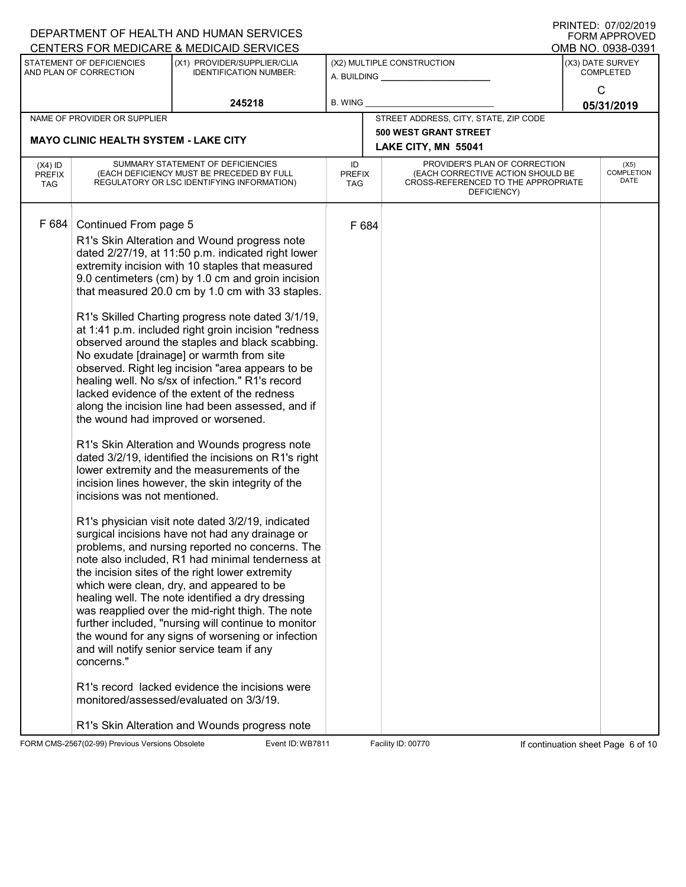|                                                                                                                                                                   | DEPARTMENT OF HEALTH AND HUMAN SERVICES                                                                                                                                                                                                                                                                                                                                                                                                                                                                                                                                                                                                                                                                                                                                                                                                                                                                                                                                                                                                                                                                                                                                                                                                                                                                                                                                                                                                                                                                                                                                                |                                   |       |                                                                                                                          | <b>FORM APPROVED</b>                 |
|-------------------------------------------------------------------------------------------------------------------------------------------------------------------|----------------------------------------------------------------------------------------------------------------------------------------------------------------------------------------------------------------------------------------------------------------------------------------------------------------------------------------------------------------------------------------------------------------------------------------------------------------------------------------------------------------------------------------------------------------------------------------------------------------------------------------------------------------------------------------------------------------------------------------------------------------------------------------------------------------------------------------------------------------------------------------------------------------------------------------------------------------------------------------------------------------------------------------------------------------------------------------------------------------------------------------------------------------------------------------------------------------------------------------------------------------------------------------------------------------------------------------------------------------------------------------------------------------------------------------------------------------------------------------------------------------------------------------------------------------------------------------|-----------------------------------|-------|--------------------------------------------------------------------------------------------------------------------------|--------------------------------------|
| CENTERS FOR MEDICARE & MEDICAID SERVICES                                                                                                                          |                                                                                                                                                                                                                                                                                                                                                                                                                                                                                                                                                                                                                                                                                                                                                                                                                                                                                                                                                                                                                                                                                                                                                                                                                                                                                                                                                                                                                                                                                                                                                                                        |                                   |       |                                                                                                                          | OMB NO. 0938-0391                    |
| STATEMENT OF DEFICIENCIES<br>AND PLAN OF CORRECTION                                                                                                               | (X1) PROVIDER/SUPPLIER/CLIA<br><b>IDENTIFICATION NUMBER:</b>                                                                                                                                                                                                                                                                                                                                                                                                                                                                                                                                                                                                                                                                                                                                                                                                                                                                                                                                                                                                                                                                                                                                                                                                                                                                                                                                                                                                                                                                                                                           |                                   |       | (X2) MULTIPLE CONSTRUCTION<br>A. BUILDING _________________                                                              | (X3) DATE SURVEY<br><b>COMPLETED</b> |
|                                                                                                                                                                   | 245218                                                                                                                                                                                                                                                                                                                                                                                                                                                                                                                                                                                                                                                                                                                                                                                                                                                                                                                                                                                                                                                                                                                                                                                                                                                                                                                                                                                                                                                                                                                                                                                 | <b>B. WING</b>                    |       |                                                                                                                          | $\mathsf{C}$<br>05/31/2019           |
| NAME OF PROVIDER OR SUPPLIER                                                                                                                                      |                                                                                                                                                                                                                                                                                                                                                                                                                                                                                                                                                                                                                                                                                                                                                                                                                                                                                                                                                                                                                                                                                                                                                                                                                                                                                                                                                                                                                                                                                                                                                                                        |                                   |       | STREET ADDRESS, CITY, STATE, ZIP CODE                                                                                    |                                      |
| <b>MAYO CLINIC HEALTH SYSTEM - LAKE CITY</b>                                                                                                                      |                                                                                                                                                                                                                                                                                                                                                                                                                                                                                                                                                                                                                                                                                                                                                                                                                                                                                                                                                                                                                                                                                                                                                                                                                                                                                                                                                                                                                                                                                                                                                                                        |                                   |       | <b>500 WEST GRANT STREET</b><br>LAKE CITY, MN 55041                                                                      |                                      |
| $(X4)$ ID<br><b>PREFIX</b><br><b>TAG</b>                                                                                                                          | SUMMARY STATEMENT OF DEFICIENCIES<br>(EACH DEFICIENCY MUST BE PRECEDED BY FULL<br>REGULATORY OR LSC IDENTIFYING INFORMATION)                                                                                                                                                                                                                                                                                                                                                                                                                                                                                                                                                                                                                                                                                                                                                                                                                                                                                                                                                                                                                                                                                                                                                                                                                                                                                                                                                                                                                                                           | ID<br><b>PREFIX</b><br><b>TAG</b> |       | PROVIDER'S PLAN OF CORRECTION<br>(EACH CORRECTIVE ACTION SHOULD BE<br>CROSS-REFERENCED TO THE APPROPRIATE<br>DEFICIENCY) | (X5)<br><b>COMPLETION</b><br>DATE    |
| F 684<br>Continued From page 5<br>the wound had improved or worsened.<br>incisions was not mentioned.<br>and will notify senior service team if any<br>concerns." | R1's Skin Alteration and Wound progress note<br>dated 2/27/19, at 11:50 p.m. indicated right lower<br>extremity incision with 10 staples that measured<br>9.0 centimeters (cm) by 1.0 cm and groin incision<br>that measured 20.0 cm by 1.0 cm with 33 staples.<br>R1's Skilled Charting progress note dated 3/1/19,<br>at 1:41 p.m. included right groin incision "redness<br>observed around the staples and black scabbing.<br>No exudate [drainage] or warmth from site<br>observed. Right leg incision "area appears to be<br>healing well. No s/sx of infection." R1's record<br>lacked evidence of the extent of the redness<br>along the incision line had been assessed, and if<br>R1's Skin Alteration and Wounds progress note<br>dated 3/2/19, identified the incisions on R1's right<br>lower extremity and the measurements of the<br>incision lines however, the skin integrity of the<br>R1's physician visit note dated 3/2/19, indicated<br>surgical incisions have not had any drainage or<br>problems, and nursing reported no concerns. The<br>note also included, R1 had minimal tenderness at<br>the incision sites of the right lower extremity<br>which were clean, dry, and appeared to be<br>healing well. The note identified a dry dressing<br>was reapplied over the mid-right thigh. The note<br>further included, "nursing will continue to monitor<br>the wound for any signs of worsening or infection<br>R1's record lacked evidence the incisions were<br>monitored/assessed/evaluated on 3/3/19.<br>R1's Skin Alteration and Wounds progress note |                                   | F 684 |                                                                                                                          |                                      |

FORM CMS-2567(02-99) Previous Versions Obsolete Event ID: WB7811 Facility ID: 00770 If continuation sheet Page 6 of 10

DEPARTMENT OF HEALTH AND HUMAN SERVICES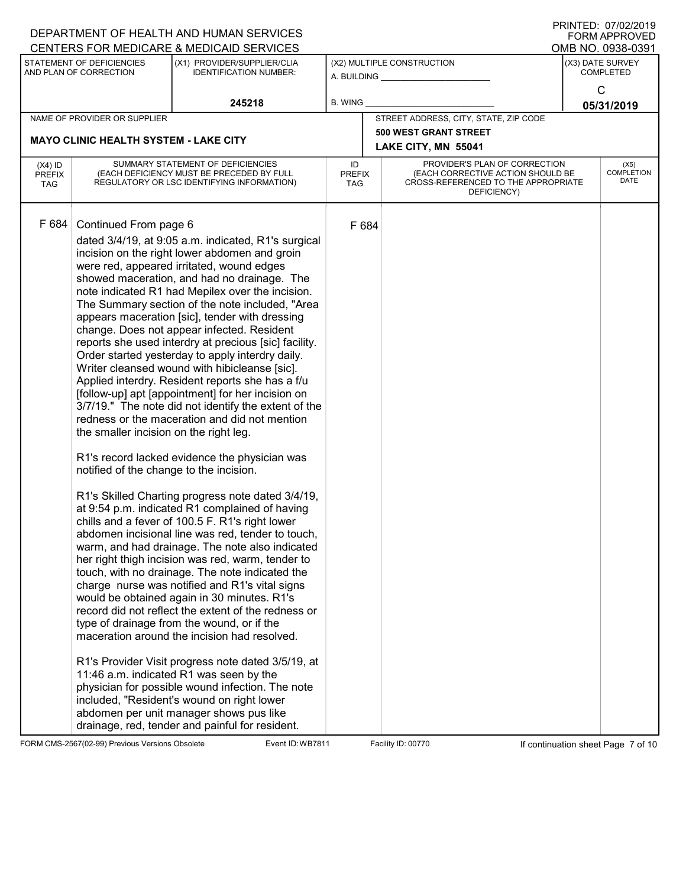|                                          |                                                                                                            | DEPARTMENT OF HEALTH AND HUMAN SERVICES                                                                                                                                                                                                                                                                                                                                                                                                                                                                                                                                                                                                                                                                                                                                                                                                                                                                                                                                                                                                                                                                                                                                                                                                                                                                                                                                                                                                                                                                                                                                                                                                                                                                                                                                   |                            |                                                                                                                          | <b>FORM APPROVED</b>                 |
|------------------------------------------|------------------------------------------------------------------------------------------------------------|---------------------------------------------------------------------------------------------------------------------------------------------------------------------------------------------------------------------------------------------------------------------------------------------------------------------------------------------------------------------------------------------------------------------------------------------------------------------------------------------------------------------------------------------------------------------------------------------------------------------------------------------------------------------------------------------------------------------------------------------------------------------------------------------------------------------------------------------------------------------------------------------------------------------------------------------------------------------------------------------------------------------------------------------------------------------------------------------------------------------------------------------------------------------------------------------------------------------------------------------------------------------------------------------------------------------------------------------------------------------------------------------------------------------------------------------------------------------------------------------------------------------------------------------------------------------------------------------------------------------------------------------------------------------------------------------------------------------------------------------------------------------------|----------------------------|--------------------------------------------------------------------------------------------------------------------------|--------------------------------------|
|                                          |                                                                                                            | CENTERS FOR MEDICARE & MEDICAID SERVICES                                                                                                                                                                                                                                                                                                                                                                                                                                                                                                                                                                                                                                                                                                                                                                                                                                                                                                                                                                                                                                                                                                                                                                                                                                                                                                                                                                                                                                                                                                                                                                                                                                                                                                                                  |                            |                                                                                                                          | OMB NO. 0938-0391                    |
|                                          | STATEMENT OF DEFICIENCIES<br>AND PLAN OF CORRECTION                                                        | (X1) PROVIDER/SUPPLIER/CLIA<br><b>IDENTIFICATION NUMBER:</b>                                                                                                                                                                                                                                                                                                                                                                                                                                                                                                                                                                                                                                                                                                                                                                                                                                                                                                                                                                                                                                                                                                                                                                                                                                                                                                                                                                                                                                                                                                                                                                                                                                                                                                              | A. BUILDING __             | (X2) MULTIPLE CONSTRUCTION                                                                                               | (X3) DATE SURVEY<br><b>COMPLETED</b> |
|                                          |                                                                                                            | 245218                                                                                                                                                                                                                                                                                                                                                                                                                                                                                                                                                                                                                                                                                                                                                                                                                                                                                                                                                                                                                                                                                                                                                                                                                                                                                                                                                                                                                                                                                                                                                                                                                                                                                                                                                                    | <b>B. WING</b>             |                                                                                                                          | $\mathsf{C}$<br>05/31/2019           |
|                                          | NAME OF PROVIDER OR SUPPLIER                                                                               |                                                                                                                                                                                                                                                                                                                                                                                                                                                                                                                                                                                                                                                                                                                                                                                                                                                                                                                                                                                                                                                                                                                                                                                                                                                                                                                                                                                                                                                                                                                                                                                                                                                                                                                                                                           |                            | STREET ADDRESS, CITY, STATE, ZIP CODE                                                                                    |                                      |
|                                          | <b>MAYO CLINIC HEALTH SYSTEM - LAKE CITY</b>                                                               |                                                                                                                                                                                                                                                                                                                                                                                                                                                                                                                                                                                                                                                                                                                                                                                                                                                                                                                                                                                                                                                                                                                                                                                                                                                                                                                                                                                                                                                                                                                                                                                                                                                                                                                                                                           |                            | <b>500 WEST GRANT STREET</b><br>LAKE CITY, MN 55041                                                                      |                                      |
| $(X4)$ ID<br><b>PREFIX</b><br><b>TAG</b> |                                                                                                            | SUMMARY STATEMENT OF DEFICIENCIES<br>(EACH DEFICIENCY MUST BE PRECEDED BY FULL<br>REGULATORY OR LSC IDENTIFYING INFORMATION)                                                                                                                                                                                                                                                                                                                                                                                                                                                                                                                                                                                                                                                                                                                                                                                                                                                                                                                                                                                                                                                                                                                                                                                                                                                                                                                                                                                                                                                                                                                                                                                                                                              | ID<br><b>PREFIX</b><br>TAG | PROVIDER'S PLAN OF CORRECTION<br>(EACH CORRECTIVE ACTION SHOULD BE<br>CROSS-REFERENCED TO THE APPROPRIATE<br>DEFICIENCY) | (X5)<br><b>COMPLETION</b><br>DATE    |
| F 684                                    | Continued From page 6<br>the smaller incision on the right leg.<br>notified of the change to the incision. | dated 3/4/19, at 9:05 a.m. indicated, R1's surgical<br>incision on the right lower abdomen and groin<br>were red, appeared irritated, wound edges<br>showed maceration, and had no drainage. The<br>note indicated R1 had Mepilex over the incision.<br>The Summary section of the note included, "Area<br>appears maceration [sic], tender with dressing<br>change. Does not appear infected. Resident<br>reports she used interdry at precious [sic] facility.<br>Order started yesterday to apply interdry daily.<br>Writer cleansed wound with hibicleanse [sic].<br>Applied interdry. Resident reports she has a f/u<br>[follow-up] apt [appointment] for her incision on<br>3/7/19." The note did not identify the extent of the<br>redness or the maceration and did not mention<br>R1's record lacked evidence the physician was<br>R1's Skilled Charting progress note dated 3/4/19,<br>at 9:54 p.m. indicated R1 complained of having<br>chills and a fever of 100.5 F. R1's right lower<br>abdomen incisional line was red, tender to touch,<br>warm, and had drainage. The note also indicated<br>her right thigh incision was red, warm, tender to<br>touch, with no drainage. The note indicated the<br>charge nurse was notified and R1's vital signs<br>would be obtained again in 30 minutes. R1's<br>record did not reflect the extent of the redness or<br>type of drainage from the wound, or if the<br>maceration around the incision had resolved.<br>R1's Provider Visit progress note dated 3/5/19, at<br>11:46 a.m. indicated R1 was seen by the<br>physician for possible wound infection. The note<br>included, "Resident's wound on right lower<br>abdomen per unit manager shows pus like<br>drainage, red, tender and painful for resident. | F 684                      |                                                                                                                          |                                      |

FORM CMS-2567(02-99) Previous Versions Obsolete Event ID: WB7811 Facility ID: 00770 If continuation sheet Page 7 of 10

DEPARTMENT OF HEALTH AND HUMAN SERVICES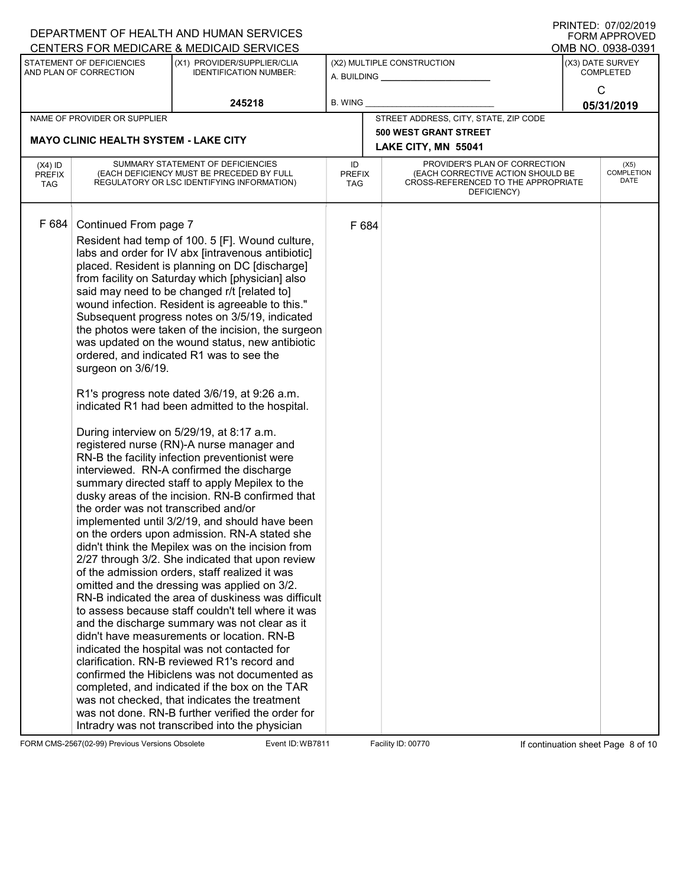|                                          |                                                                                     | DEPARTMENT OF HEALTH AND HUMAN SERVICES                                                                                                                                                                                                                                                                                                                                                                                                                                                                                                                                                                                                                                                                                                                                                                                                                                                                                                                                                                                                                                                                                                                                                                                                                                                                                                                                                                                                                                                                                                                                                                                                                                                                                                                                                                        |                                   |                                                                                                                          |                                      | I ININILU. <i>UIIULIL</i> UIJ<br><b>FORM APPROVED</b> |
|------------------------------------------|-------------------------------------------------------------------------------------|----------------------------------------------------------------------------------------------------------------------------------------------------------------------------------------------------------------------------------------------------------------------------------------------------------------------------------------------------------------------------------------------------------------------------------------------------------------------------------------------------------------------------------------------------------------------------------------------------------------------------------------------------------------------------------------------------------------------------------------------------------------------------------------------------------------------------------------------------------------------------------------------------------------------------------------------------------------------------------------------------------------------------------------------------------------------------------------------------------------------------------------------------------------------------------------------------------------------------------------------------------------------------------------------------------------------------------------------------------------------------------------------------------------------------------------------------------------------------------------------------------------------------------------------------------------------------------------------------------------------------------------------------------------------------------------------------------------------------------------------------------------------------------------------------------------|-----------------------------------|--------------------------------------------------------------------------------------------------------------------------|--------------------------------------|-------------------------------------------------------|
|                                          |                                                                                     | CENTERS FOR MEDICARE & MEDICAID SERVICES                                                                                                                                                                                                                                                                                                                                                                                                                                                                                                                                                                                                                                                                                                                                                                                                                                                                                                                                                                                                                                                                                                                                                                                                                                                                                                                                                                                                                                                                                                                                                                                                                                                                                                                                                                       |                                   |                                                                                                                          |                                      | OMB NO. 0938-0391                                     |
|                                          | STATEMENT OF DEFICIENCIES<br>AND PLAN OF CORRECTION                                 | (X1) PROVIDER/SUPPLIER/CLIA<br><b>IDENTIFICATION NUMBER:</b>                                                                                                                                                                                                                                                                                                                                                                                                                                                                                                                                                                                                                                                                                                                                                                                                                                                                                                                                                                                                                                                                                                                                                                                                                                                                                                                                                                                                                                                                                                                                                                                                                                                                                                                                                   |                                   | (X2) MULTIPLE CONSTRUCTION<br>A. BUILDING                                                                                | (X3) DATE SURVEY<br><b>COMPLETED</b> |                                                       |
|                                          |                                                                                     | 245218                                                                                                                                                                                                                                                                                                                                                                                                                                                                                                                                                                                                                                                                                                                                                                                                                                                                                                                                                                                                                                                                                                                                                                                                                                                                                                                                                                                                                                                                                                                                                                                                                                                                                                                                                                                                         | <b>B. WING</b>                    |                                                                                                                          |                                      | C<br>05/31/2019                                       |
|                                          | NAME OF PROVIDER OR SUPPLIER                                                        |                                                                                                                                                                                                                                                                                                                                                                                                                                                                                                                                                                                                                                                                                                                                                                                                                                                                                                                                                                                                                                                                                                                                                                                                                                                                                                                                                                                                                                                                                                                                                                                                                                                                                                                                                                                                                |                                   | STREET ADDRESS, CITY, STATE, ZIP CODE                                                                                    |                                      |                                                       |
|                                          |                                                                                     |                                                                                                                                                                                                                                                                                                                                                                                                                                                                                                                                                                                                                                                                                                                                                                                                                                                                                                                                                                                                                                                                                                                                                                                                                                                                                                                                                                                                                                                                                                                                                                                                                                                                                                                                                                                                                |                                   | <b>500 WEST GRANT STREET</b>                                                                                             |                                      |                                                       |
|                                          | <b>MAYO CLINIC HEALTH SYSTEM - LAKE CITY</b>                                        |                                                                                                                                                                                                                                                                                                                                                                                                                                                                                                                                                                                                                                                                                                                                                                                                                                                                                                                                                                                                                                                                                                                                                                                                                                                                                                                                                                                                                                                                                                                                                                                                                                                                                                                                                                                                                |                                   | LAKE CITY, MN 55041                                                                                                      |                                      |                                                       |
| $(X4)$ ID<br><b>PREFIX</b><br><b>TAG</b> |                                                                                     | SUMMARY STATEMENT OF DEFICIENCIES<br>(EACH DEFICIENCY MUST BE PRECEDED BY FULL<br>REGULATORY OR LSC IDENTIFYING INFORMATION)                                                                                                                                                                                                                                                                                                                                                                                                                                                                                                                                                                                                                                                                                                                                                                                                                                                                                                                                                                                                                                                                                                                                                                                                                                                                                                                                                                                                                                                                                                                                                                                                                                                                                   | ID<br><b>PREFIX</b><br><b>TAG</b> | PROVIDER'S PLAN OF CORRECTION<br>(EACH CORRECTIVE ACTION SHOULD BE<br>CROSS-REFERENCED TO THE APPROPRIATE<br>DEFICIENCY) |                                      | (X5)<br><b>COMPLETION</b><br>DATE                     |
| F 684                                    | Continued From page 7<br>surgeon on 3/6/19.<br>the order was not transcribed and/or | Resident had temp of 100. 5 [F]. Wound culture,<br>labs and order for IV abx [intravenous antibiotic]<br>placed. Resident is planning on DC [discharge]<br>from facility on Saturday which [physician] also<br>said may need to be changed r/t [related to]<br>wound infection. Resident is agreeable to this."<br>Subsequent progress notes on 3/5/19, indicated<br>the photos were taken of the incision, the surgeon<br>was updated on the wound status, new antibiotic<br>ordered, and indicated R1 was to see the<br>R1's progress note dated 3/6/19, at 9:26 a.m.<br>indicated R1 had been admitted to the hospital.<br>During interview on 5/29/19, at 8:17 a.m.<br>registered nurse (RN)-A nurse manager and<br>RN-B the facility infection preventionist were<br>interviewed. RN-A confirmed the discharge<br>summary directed staff to apply Mepilex to the<br>dusky areas of the incision. RN-B confirmed that<br>implemented until 3/2/19, and should have been<br>on the orders upon admission. RN-A stated she<br>didn't think the Mepilex was on the incision from<br>2/27 through 3/2. She indicated that upon review<br>of the admission orders, staff realized it was<br>omitted and the dressing was applied on 3/2.<br>RN-B indicated the area of duskiness was difficult<br>to assess because staff couldn't tell where it was<br>and the discharge summary was not clear as it<br>didn't have measurements or location. RN-B<br>indicated the hospital was not contacted for<br>clarification. RN-B reviewed R1's record and<br>confirmed the Hibiclens was not documented as<br>completed, and indicated if the box on the TAR<br>was not checked, that indicates the treatment<br>was not done. RN-B further verified the order for<br>Intradry was not transcribed into the physician | F 684                             |                                                                                                                          |                                      |                                                       |

FORM CMS-2567(02-99) Previous Versions Obsolete Event ID: WB7811 Facility ID: 00770 If continuation sheet Page 8 of 10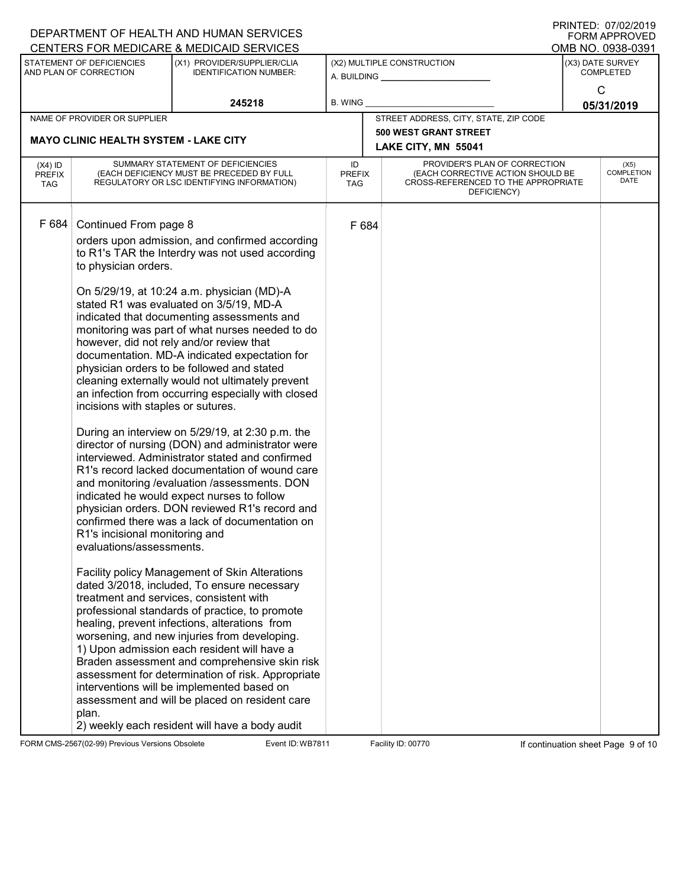|                                          |                                                                                                                                                   | DEPARTMENT OF HEALTH AND HUMAN SERVICES<br>CENTERS FOR MEDICARE & MEDICAID SERVICES                                                                                                                                                                                                                                                                                                                                                                                                                                                                                                                                                                                                                                                                                                                                                                                                                                                                                                                                                                                                                                                                                                                                                                                                                                                                                                                                                                                                                                 |                            |                                                                                                                          | U ININTED. <i>UTIVEI</i> ZUTJ<br><b>FORM APPROVED</b><br>OMB NO. 0938-0391 |
|------------------------------------------|---------------------------------------------------------------------------------------------------------------------------------------------------|---------------------------------------------------------------------------------------------------------------------------------------------------------------------------------------------------------------------------------------------------------------------------------------------------------------------------------------------------------------------------------------------------------------------------------------------------------------------------------------------------------------------------------------------------------------------------------------------------------------------------------------------------------------------------------------------------------------------------------------------------------------------------------------------------------------------------------------------------------------------------------------------------------------------------------------------------------------------------------------------------------------------------------------------------------------------------------------------------------------------------------------------------------------------------------------------------------------------------------------------------------------------------------------------------------------------------------------------------------------------------------------------------------------------------------------------------------------------------------------------------------------------|----------------------------|--------------------------------------------------------------------------------------------------------------------------|----------------------------------------------------------------------------|
|                                          | STATEMENT OF DEFICIENCIES<br>AND PLAN OF CORRECTION                                                                                               | (X1) PROVIDER/SUPPLIER/CLIA<br><b>IDENTIFICATION NUMBER:</b>                                                                                                                                                                                                                                                                                                                                                                                                                                                                                                                                                                                                                                                                                                                                                                                                                                                                                                                                                                                                                                                                                                                                                                                                                                                                                                                                                                                                                                                        |                            | (X2) MULTIPLE CONSTRUCTION<br>A. BUILDING                                                                                | (X3) DATE SURVEY<br><b>COMPLETED</b>                                       |
|                                          |                                                                                                                                                   | 245218                                                                                                                                                                                                                                                                                                                                                                                                                                                                                                                                                                                                                                                                                                                                                                                                                                                                                                                                                                                                                                                                                                                                                                                                                                                                                                                                                                                                                                                                                                              | <b>B. WING</b>             |                                                                                                                          | C<br>05/31/2019                                                            |
|                                          | NAME OF PROVIDER OR SUPPLIER                                                                                                                      |                                                                                                                                                                                                                                                                                                                                                                                                                                                                                                                                                                                                                                                                                                                                                                                                                                                                                                                                                                                                                                                                                                                                                                                                                                                                                                                                                                                                                                                                                                                     |                            | STREET ADDRESS, CITY, STATE, ZIP CODE                                                                                    |                                                                            |
|                                          | <b>MAYO CLINIC HEALTH SYSTEM - LAKE CITY</b>                                                                                                      |                                                                                                                                                                                                                                                                                                                                                                                                                                                                                                                                                                                                                                                                                                                                                                                                                                                                                                                                                                                                                                                                                                                                                                                                                                                                                                                                                                                                                                                                                                                     |                            | <b>500 WEST GRANT STREET</b><br>LAKE CITY, MN 55041                                                                      |                                                                            |
| $(X4)$ ID<br><b>PREFIX</b><br><b>TAG</b> |                                                                                                                                                   | SUMMARY STATEMENT OF DEFICIENCIES<br>(EACH DEFICIENCY MUST BE PRECEDED BY FULL<br>REGULATORY OR LSC IDENTIFYING INFORMATION)                                                                                                                                                                                                                                                                                                                                                                                                                                                                                                                                                                                                                                                                                                                                                                                                                                                                                                                                                                                                                                                                                                                                                                                                                                                                                                                                                                                        | ID<br><b>PREFIX</b><br>TAG | PROVIDER'S PLAN OF CORRECTION<br>(EACH CORRECTIVE ACTION SHOULD BE<br>CROSS-REFERENCED TO THE APPROPRIATE<br>DEFICIENCY) | (X5)<br><b>COMPLETION</b><br>DATE                                          |
| F 684                                    | Continued From page 8<br>to physician orders.<br>incisions with staples or sutures.<br>R1's incisional monitoring and<br>evaluations/assessments. | orders upon admission, and confirmed according<br>to R1's TAR the Interdry was not used according<br>On 5/29/19, at 10:24 a.m. physician (MD)-A<br>stated R1 was evaluated on 3/5/19, MD-A<br>indicated that documenting assessments and<br>monitoring was part of what nurses needed to do<br>however, did not rely and/or review that<br>documentation. MD-A indicated expectation for<br>physician orders to be followed and stated<br>cleaning externally would not ultimately prevent<br>an infection from occurring especially with closed<br>During an interview on 5/29/19, at 2:30 p.m. the<br>director of nursing (DON) and administrator were<br>interviewed. Administrator stated and confirmed<br>R1's record lacked documentation of wound care<br>and monitoring /evaluation /assessments. DON<br>indicated he would expect nurses to follow<br>physician orders. DON reviewed R1's record and<br>confirmed there was a lack of documentation on<br>Facility policy Management of Skin Alterations<br>dated 3/2018, included, To ensure necessary<br>treatment and services, consistent with<br>professional standards of practice, to promote<br>healing, prevent infections, alterations from<br>worsening, and new injuries from developing.<br>1) Upon admission each resident will have a<br>Braden assessment and comprehensive skin risk<br>assessment for determination of risk. Appropriate<br>interventions will be implemented based on<br>assessment and will be placed on resident care | F 684                      |                                                                                                                          |                                                                            |
|                                          | plan.                                                                                                                                             | 2) weekly each resident will have a body audit                                                                                                                                                                                                                                                                                                                                                                                                                                                                                                                                                                                                                                                                                                                                                                                                                                                                                                                                                                                                                                                                                                                                                                                                                                                                                                                                                                                                                                                                      |                            |                                                                                                                          |                                                                            |

FORM CMS-2567(02-99) Previous Versions Obsolete Event ID: WB7811 Facility ID: 00770 If continuation sheet Page 9 of 10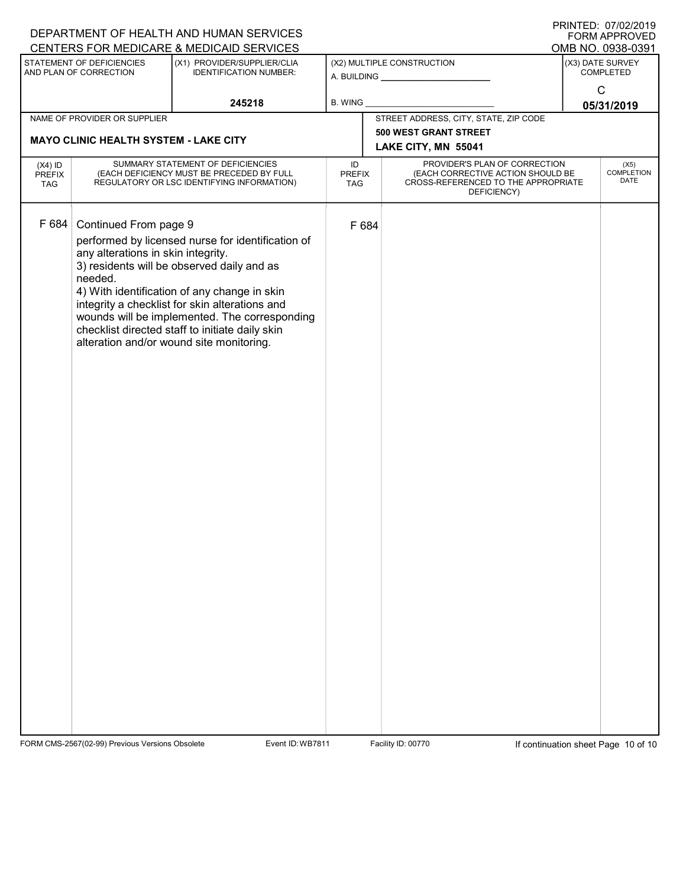| $1$ INITILD. $01/02/2015$<br>DEPARTMENT OF HEALTH AND HUMAN SERVICES<br><b>FORM APPROVED</b> |                                                                                                                              |                                                                                                                                                                                                                                                                                                                                                   |                                   |       |                                                                                                                          |                            |                                      |  |
|----------------------------------------------------------------------------------------------|------------------------------------------------------------------------------------------------------------------------------|---------------------------------------------------------------------------------------------------------------------------------------------------------------------------------------------------------------------------------------------------------------------------------------------------------------------------------------------------|-----------------------------------|-------|--------------------------------------------------------------------------------------------------------------------------|----------------------------|--------------------------------------|--|
|                                                                                              |                                                                                                                              | CENTERS FOR MEDICARE & MEDICAID SERVICES                                                                                                                                                                                                                                                                                                          |                                   |       |                                                                                                                          |                            | OMB NO. 0938-0391                    |  |
|                                                                                              | STATEMENT OF DEFICIENCIES<br>AND PLAN OF CORRECTION                                                                          | (X1) PROVIDER/SUPPLIER/CLIA<br><b>IDENTIFICATION NUMBER:</b>                                                                                                                                                                                                                                                                                      |                                   |       | (X2) MULTIPLE CONSTRUCTION                                                                                               |                            | (X3) DATE SURVEY<br><b>COMPLETED</b> |  |
|                                                                                              |                                                                                                                              | 245218                                                                                                                                                                                                                                                                                                                                            | <b>B. WING</b>                    |       |                                                                                                                          | $\mathsf{C}$<br>05/31/2019 |                                      |  |
|                                                                                              | NAME OF PROVIDER OR SUPPLIER                                                                                                 |                                                                                                                                                                                                                                                                                                                                                   |                                   |       | STREET ADDRESS, CITY, STATE, ZIP CODE                                                                                    |                            |                                      |  |
|                                                                                              |                                                                                                                              |                                                                                                                                                                                                                                                                                                                                                   |                                   |       | 500 WEST GRANT STREET                                                                                                    |                            |                                      |  |
|                                                                                              | <b>MAYO CLINIC HEALTH SYSTEM - LAKE CITY</b>                                                                                 |                                                                                                                                                                                                                                                                                                                                                   |                                   |       | LAKE CITY, MN 55041                                                                                                      |                            |                                      |  |
| $(X4)$ ID<br>PREFIX<br><b>TAG</b>                                                            | SUMMARY STATEMENT OF DEFICIENCIES<br>(EACH DEFICIENCY MUST BE PRECEDED BY FULL<br>REGULATORY OR LSC IDENTIFYING INFORMATION) |                                                                                                                                                                                                                                                                                                                                                   | ID<br><b>PREFIX</b><br><b>TAG</b> |       | PROVIDER'S PLAN OF CORRECTION<br>(EACH CORRECTIVE ACTION SHOULD BE<br>CROSS-REFERENCED TO THE APPROPRIATE<br>DEFICIENCY) |                            | (X5)<br><b>COMPLETION</b><br>DATE    |  |
| F 684                                                                                        | Continued From page 9<br>any alterations in skin integrity.<br>needed.                                                       | performed by licensed nurse for identification of<br>3) residents will be observed daily and as<br>4) With identification of any change in skin<br>integrity a checklist for skin alterations and<br>wounds will be implemented. The corresponding<br>checklist directed staff to initiate daily skin<br>alteration and/or wound site monitoring. |                                   | F 684 |                                                                                                                          |                            |                                      |  |

FORM CMS-2567(02-99) Previous Versions Obsolete Event ID: WB7811 Facility ID: 00770 If continuation sheet Page 10 of 10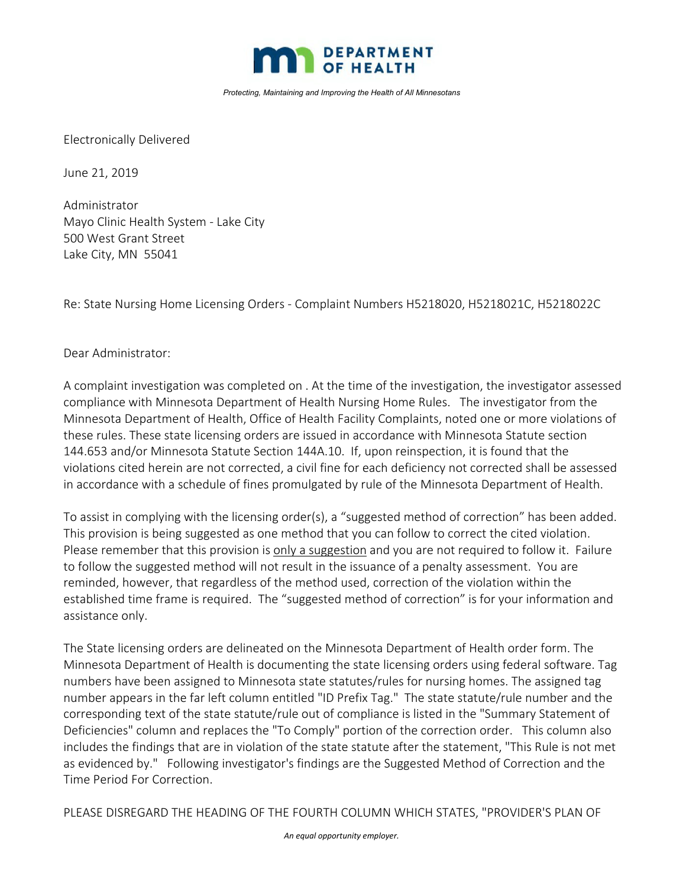

*Protecting, Maintaining and Improving the Health of All Minnesotans*

Electronically Delivered

June 21, 2019

Administrator Mayo Clinic Health System ‐ Lake City 500 West Grant Street Lake City, MN 55041

Re: State Nursing Home Licensing Orders ‐ Complaint Numbers H5218020, H5218021C, H5218022C

Dear Administrator:

A complaint investigation was completed on . At the time of the investigation, the investigator assessed compliance with Minnesota Department of Health Nursing Home Rules. The investigator from the Minnesota Department of Health, Office of Health Facility Complaints, noted one or more violations of these rules. These state licensing orders are issued in accordance with Minnesota Statute section 144.653 and/or Minnesota Statute Section 144A.10. If, upon reinspection, it is found that the violations cited herein are not corrected, a civil fine for each deficiency not corrected shall be assessed in accordance with a schedule of fines promulgated by rule of the Minnesota Department of Health.

To assist in complying with the licensing order(s), a "suggested method of correction" has been added. This provision is being suggested as one method that you can follow to correct the cited violation. Please remember that this provision is only a suggestion and you are not required to follow it. Failure to follow the suggested method will not result in the issuance of a penalty assessment. You are reminded, however, that regardless of the method used, correction of the violation within the established time frame is required. The "suggested method of correction" is for your information and assistance only.

The State licensing orders are delineated on the Minnesota Department of Health order form. The Minnesota Department of Health is documenting the state licensing orders using federal software. Tag numbers have been assigned to Minnesota state statutes/rules for nursing homes. The assigned tag number appears in the far left column entitled "ID Prefix Tag." The state statute/rule number and the corresponding text of the state statute/rule out of compliance is listed in the "Summary Statement of Deficiencies" column and replaces the "To Comply" portion of the correction order. This column also includes the findings that are in violation of the state statute after the statement, "This Rule is not met as evidenced by." Following investigator's findings are the Suggested Method of Correction and the Time Period For Correction.

PLEASE DISREGARD THE HEADING OF THE FOURTH COLUMN WHICH STATES, "PROVIDER'S PLAN OF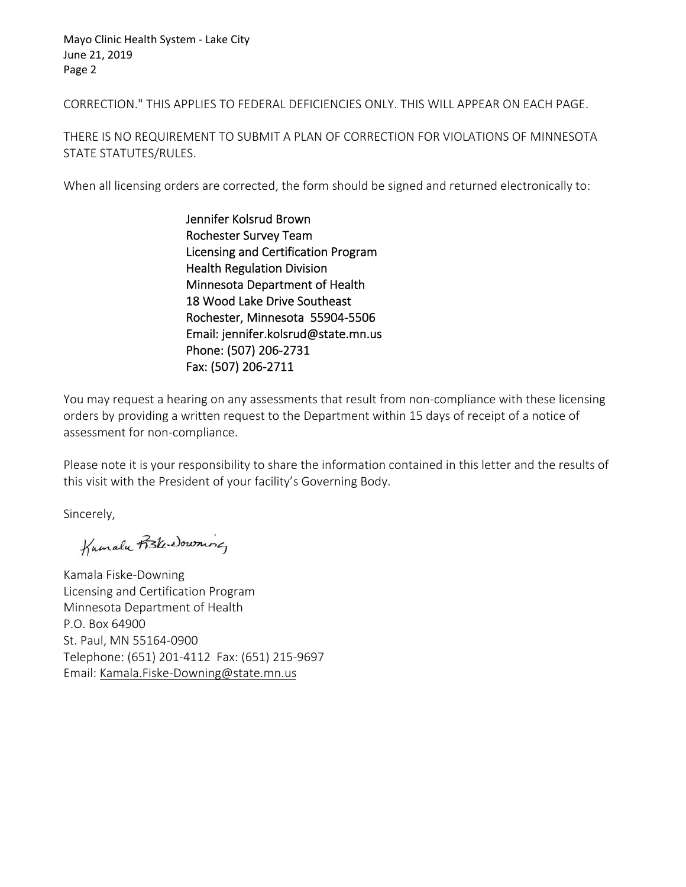Mayo Clinic Health System ‐ Lake City June 21, 2019 Page 2

CORRECTION." THIS APPLIES TO FEDERAL DEFICIENCIES ONLY. THIS WILL APPEAR ON EACH PAGE.

THERE IS NO REQUIREMENT TO SUBMIT A PLAN OF CORRECTION FOR VIOLATIONS OF MINNESOTA STATE STATUTES/RULES.

When all licensing orders are corrected, the form should be signed and returned electronically to:

Jennifer Kolsrud Brown Rochester Survey Team Licensing and Certification Program Health Regulation Division Minnesota Department of Health 18 Wood Lake Drive Southeast Rochester, Minnesota 55904‐5506 Email: jennifer.kolsrud@state.mn.us Phone: (507) 206‐2731 Fax: (507) 206‐2711

You may request a hearing on any assessments that result from non‐compliance with these licensing orders by providing a written request to the Department within 15 days of receipt of a notice of assessment for non‐compliance.

Please note it is your responsibility to share the information contained in this letter and the results of this visit with the President of your facility's Governing Body.

Sincerely,

 $\overline{u}$ 

Kamala Fiske‐Downing Licensing and Certification Program Minnesota Department of Health P.O. Box 64900 St. Paul, MN 55164‐0900 Telephone: (651) 201‐4112 Fax: (651) 215‐9697 Email: Kamala.Fiske‐Downing@state.mn.us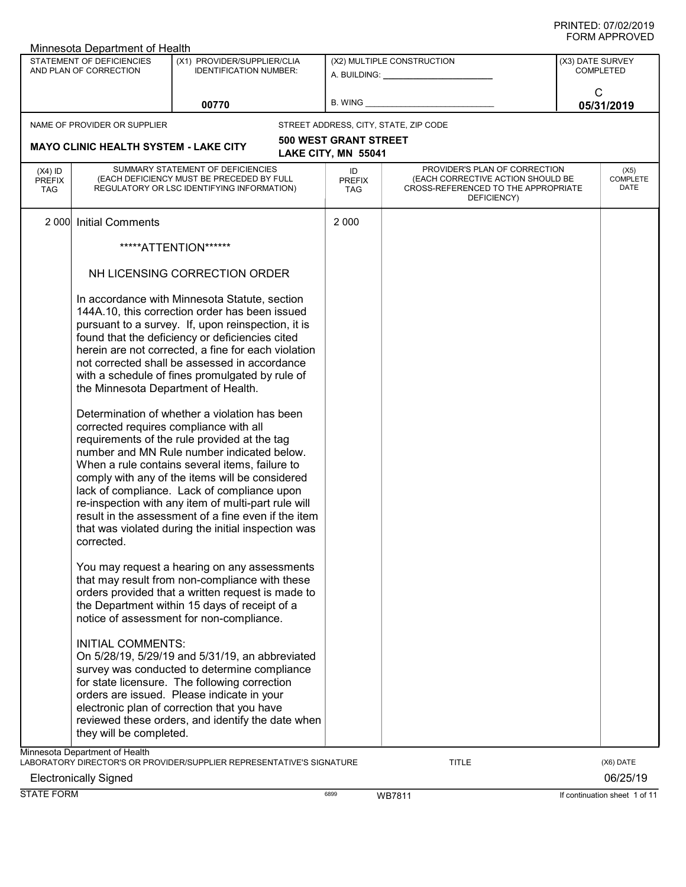|                                          | Minnesota Department of Health                                                |                                                                                                                                                                                                                                                                                                                                                                                                                                                                                                                                                                                                                                                                                                                                                                                                                                             |                                   |                                                                                                                          |                  |                          |
|------------------------------------------|-------------------------------------------------------------------------------|---------------------------------------------------------------------------------------------------------------------------------------------------------------------------------------------------------------------------------------------------------------------------------------------------------------------------------------------------------------------------------------------------------------------------------------------------------------------------------------------------------------------------------------------------------------------------------------------------------------------------------------------------------------------------------------------------------------------------------------------------------------------------------------------------------------------------------------------|-----------------------------------|--------------------------------------------------------------------------------------------------------------------------|------------------|--------------------------|
|                                          | STATEMENT OF DEFICIENCIES<br>AND PLAN OF CORRECTION                           | (X1) PROVIDER/SUPPLIER/CLIA<br><b>IDENTIFICATION NUMBER:</b>                                                                                                                                                                                                                                                                                                                                                                                                                                                                                                                                                                                                                                                                                                                                                                                |                                   | (X2) MULTIPLE CONSTRUCTION                                                                                               | (X3) DATE SURVEY | <b>COMPLETED</b>         |
|                                          |                                                                               | 00770                                                                                                                                                                                                                                                                                                                                                                                                                                                                                                                                                                                                                                                                                                                                                                                                                                       | B. WING                           |                                                                                                                          | C                | 05/31/2019               |
|                                          | NAME OF PROVIDER OR SUPPLIER                                                  |                                                                                                                                                                                                                                                                                                                                                                                                                                                                                                                                                                                                                                                                                                                                                                                                                                             |                                   | STREET ADDRESS, CITY, STATE, ZIP CODE                                                                                    |                  |                          |
|                                          |                                                                               |                                                                                                                                                                                                                                                                                                                                                                                                                                                                                                                                                                                                                                                                                                                                                                                                                                             | <b>500 WEST GRANT STREET</b>      |                                                                                                                          |                  |                          |
|                                          | <b>MAYO CLINIC HEALTH SYSTEM - LAKE CITY</b>                                  |                                                                                                                                                                                                                                                                                                                                                                                                                                                                                                                                                                                                                                                                                                                                                                                                                                             | LAKE CITY, MN 55041               |                                                                                                                          |                  |                          |
| $(X4)$ ID<br><b>PREFIX</b><br><b>TAG</b> |                                                                               | SUMMARY STATEMENT OF DEFICIENCIES<br>(EACH DEFICIENCY MUST BE PRECEDED BY FULL<br>REGULATORY OR LSC IDENTIFYING INFORMATION)                                                                                                                                                                                                                                                                                                                                                                                                                                                                                                                                                                                                                                                                                                                | ID<br><b>PREFIX</b><br><b>TAG</b> | PROVIDER'S PLAN OF CORRECTION<br>(EACH CORRECTIVE ACTION SHOULD BE<br>CROSS-REFERENCED TO THE APPROPRIATE<br>DEFICIENCY) |                  | (X5)<br>COMPLETE<br>DATE |
| 2 0 0 0                                  | <b>Initial Comments</b>                                                       |                                                                                                                                                                                                                                                                                                                                                                                                                                                                                                                                                                                                                                                                                                                                                                                                                                             | 2 0 0 0                           |                                                                                                                          |                  |                          |
|                                          |                                                                               | *****ATTENTION******                                                                                                                                                                                                                                                                                                                                                                                                                                                                                                                                                                                                                                                                                                                                                                                                                        |                                   |                                                                                                                          |                  |                          |
|                                          |                                                                               | NH LICENSING CORRECTION ORDER                                                                                                                                                                                                                                                                                                                                                                                                                                                                                                                                                                                                                                                                                                                                                                                                               |                                   |                                                                                                                          |                  |                          |
|                                          | the Minnesota Department of Health.<br>corrected requires compliance with all | In accordance with Minnesota Statute, section<br>144A.10, this correction order has been issued<br>pursuant to a survey. If, upon reinspection, it is<br>found that the deficiency or deficiencies cited<br>herein are not corrected, a fine for each violation<br>not corrected shall be assessed in accordance<br>with a schedule of fines promulgated by rule of<br>Determination of whether a violation has been<br>requirements of the rule provided at the tag<br>number and MN Rule number indicated below.<br>When a rule contains several items, failure to<br>comply with any of the items will be considered<br>lack of compliance. Lack of compliance upon<br>re-inspection with any item of multi-part rule will<br>result in the assessment of a fine even if the item<br>that was violated during the initial inspection was |                                   |                                                                                                                          |                  |                          |
|                                          | corrected.<br><b>INITIAL COMMENTS:</b>                                        | You may request a hearing on any assessments<br>that may result from non-compliance with these<br>orders provided that a written request is made to<br>the Department within 15 days of receipt of a<br>notice of assessment for non-compliance.                                                                                                                                                                                                                                                                                                                                                                                                                                                                                                                                                                                            |                                   |                                                                                                                          |                  |                          |
|                                          | they will be completed.                                                       | On 5/28/19, 5/29/19 and 5/31/19, an abbreviated<br>survey was conducted to determine compliance<br>for state licensure. The following correction<br>orders are issued. Please indicate in your<br>electronic plan of correction that you have<br>reviewed these orders, and identify the date when                                                                                                                                                                                                                                                                                                                                                                                                                                                                                                                                          |                                   |                                                                                                                          |                  |                          |
|                                          | Minnesota Department of Health                                                | LABORATORY DIRECTOR'S OR PROVIDER/SUPPLIER REPRESENTATIVE'S SIGNATURE                                                                                                                                                                                                                                                                                                                                                                                                                                                                                                                                                                                                                                                                                                                                                                       |                                   | <b>TITLE</b>                                                                                                             |                  | (X6) DATE                |
|                                          | <b>Electronically Signed</b>                                                  |                                                                                                                                                                                                                                                                                                                                                                                                                                                                                                                                                                                                                                                                                                                                                                                                                                             |                                   |                                                                                                                          |                  | 06/25/19                 |

esse WB7811 If continuation sheet 1 of 11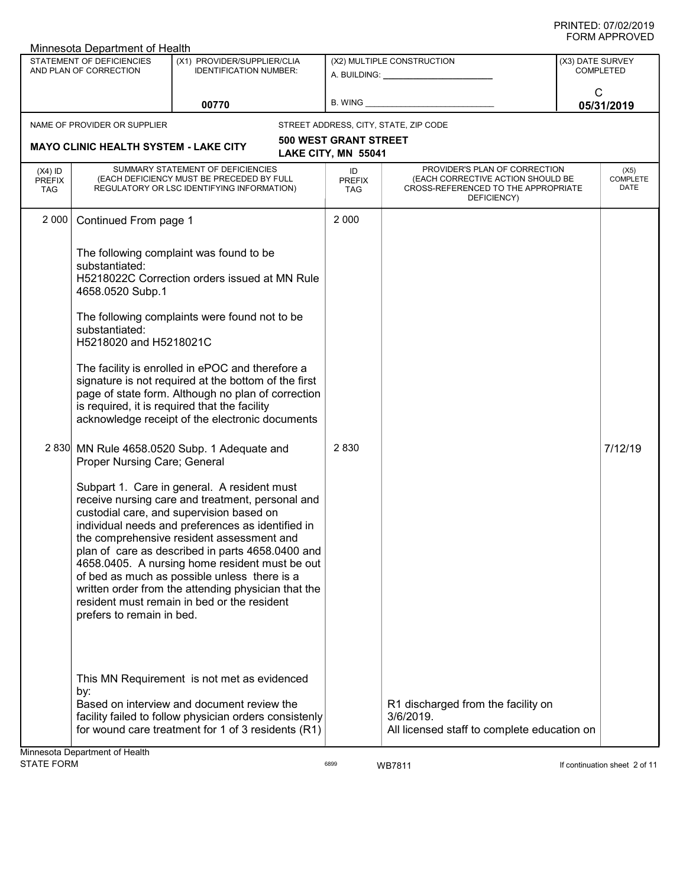|                                          | Minnesota Department of Health                                                 |                                                                                                                                                                                                                                                                                                                                                                                                                                                                                                           |                                                     |                                                                                                                          |                  |                                 |
|------------------------------------------|--------------------------------------------------------------------------------|-----------------------------------------------------------------------------------------------------------------------------------------------------------------------------------------------------------------------------------------------------------------------------------------------------------------------------------------------------------------------------------------------------------------------------------------------------------------------------------------------------------|-----------------------------------------------------|--------------------------------------------------------------------------------------------------------------------------|------------------|---------------------------------|
|                                          | <b>STATEMENT OF DEFICIENCIES</b><br>AND PLAN OF CORRECTION                     | (X1) PROVIDER/SUPPLIER/CLIA<br><b>IDENTIFICATION NUMBER:</b>                                                                                                                                                                                                                                                                                                                                                                                                                                              |                                                     | (X2) MULTIPLE CONSTRUCTION<br>A. BUILDING: A. BUILDING:                                                                  | (X3) DATE SURVEY | <b>COMPLETED</b>                |
|                                          |                                                                                | 00770                                                                                                                                                                                                                                                                                                                                                                                                                                                                                                     | B. WING                                             |                                                                                                                          | $\mathsf{C}$     | 05/31/2019                      |
|                                          | NAME OF PROVIDER OR SUPPLIER                                                   |                                                                                                                                                                                                                                                                                                                                                                                                                                                                                                           |                                                     | STREET ADDRESS, CITY, STATE, ZIP CODE                                                                                    |                  |                                 |
|                                          | <b>MAYO CLINIC HEALTH SYSTEM - LAKE CITY</b>                                   |                                                                                                                                                                                                                                                                                                                                                                                                                                                                                                           | <b>500 WEST GRANT STREET</b><br>LAKE CITY, MN 55041 |                                                                                                                          |                  |                                 |
| $(X4)$ ID<br><b>PREFIX</b><br><b>TAG</b> |                                                                                | SUMMARY STATEMENT OF DEFICIENCIES<br>(EACH DEFICIENCY MUST BE PRECEDED BY FULL<br>REGULATORY OR LSC IDENTIFYING INFORMATION)                                                                                                                                                                                                                                                                                                                                                                              | ID<br><b>PREFIX</b><br><b>TAG</b>                   | PROVIDER'S PLAN OF CORRECTION<br>(EACH CORRECTIVE ACTION SHOULD BE<br>CROSS-REFERENCED TO THE APPROPRIATE<br>DEFICIENCY) |                  | (X5)<br><b>COMPLETE</b><br>DATE |
| 2 0 0 0                                  | Continued From page 1                                                          |                                                                                                                                                                                                                                                                                                                                                                                                                                                                                                           | 2 0 0 0                                             |                                                                                                                          |                  |                                 |
|                                          | substantiated:<br>4658.0520 Subp.1<br>substantiated:<br>H5218020 and H5218021C | The following complaint was found to be<br>H5218022C Correction orders issued at MN Rule<br>The following complaints were found not to be<br>The facility is enrolled in ePOC and therefore a<br>signature is not required at the bottom of the first<br>page of state form. Although no plan of correction<br>is required, it is required that the facility<br>acknowledge receipt of the electronic documents                                                                                           |                                                     |                                                                                                                          |                  |                                 |
|                                          | Proper Nursing Care; General                                                   | 2 830 MN Rule 4658.0520 Subp. 1 Adequate and                                                                                                                                                                                                                                                                                                                                                                                                                                                              | 2830                                                |                                                                                                                          |                  | 7/12/19                         |
|                                          | prefers to remain in bed.                                                      | Subpart 1. Care in general. A resident must<br>receive nursing care and treatment, personal and<br>custodial care, and supervision based on<br>individual needs and preferences as identified in<br>the comprehensive resident assessment and<br>plan of care as described in parts 4658.0400 and<br>4658.0405. A nursing home resident must be out<br>of bed as much as possible unless there is a<br>written order from the attending physician that the<br>resident must remain in bed or the resident |                                                     |                                                                                                                          |                  |                                 |
|                                          | by:<br>Jinnosota Donartmont of Hoolth                                          | This MN Requirement is not met as evidenced<br>Based on interview and document review the<br>facility failed to follow physician orders consistenly<br>for wound care treatment for 1 of 3 residents (R1)                                                                                                                                                                                                                                                                                                 |                                                     | R1 discharged from the facility on<br>3/6/2019.<br>All licensed staff to complete education on                           |                  |                                 |

Minnesota Department of Health

assets the UST of 11 and 16899 WB7811 and 16899 MB7811 and 16899 MB7811 and 1699 MB7811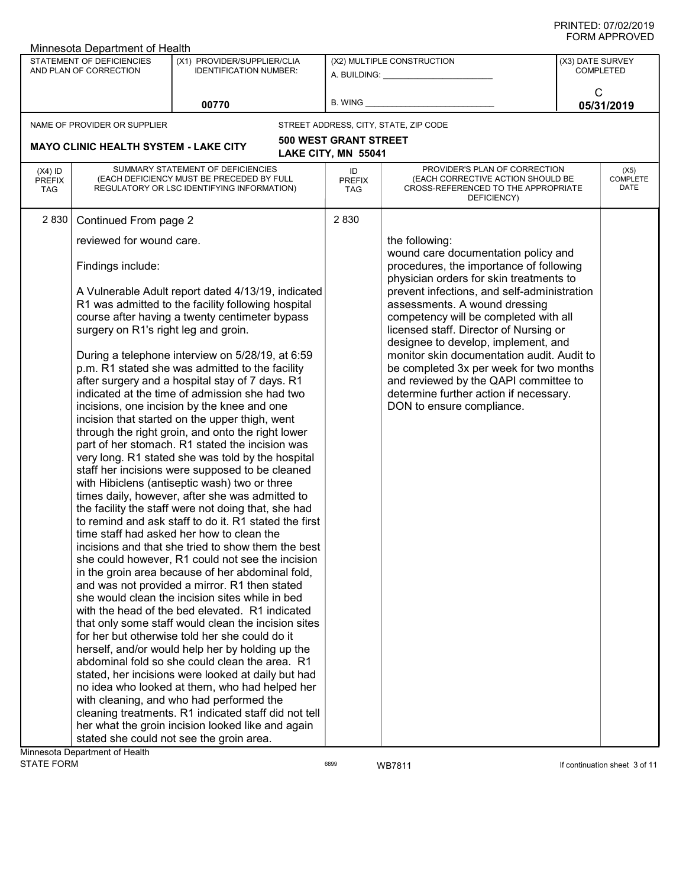| <b>\IVI / ``I I \ ♡ \ `L L</b><br>Minnesota Department of Health |                                                           |                                                                                                                                                                                                                                                                                                                                                                                                                                                                                                                                                                                                                                                                                                                                                                                                                                                                                                                                                                                                                                                                                                                                                                         |                                                     |                                                                                                                                                                                                                                                                                                                                                                                                                                                                                                                                              |                                      |                                 |
|------------------------------------------------------------------|-----------------------------------------------------------|-------------------------------------------------------------------------------------------------------------------------------------------------------------------------------------------------------------------------------------------------------------------------------------------------------------------------------------------------------------------------------------------------------------------------------------------------------------------------------------------------------------------------------------------------------------------------------------------------------------------------------------------------------------------------------------------------------------------------------------------------------------------------------------------------------------------------------------------------------------------------------------------------------------------------------------------------------------------------------------------------------------------------------------------------------------------------------------------------------------------------------------------------------------------------|-----------------------------------------------------|----------------------------------------------------------------------------------------------------------------------------------------------------------------------------------------------------------------------------------------------------------------------------------------------------------------------------------------------------------------------------------------------------------------------------------------------------------------------------------------------------------------------------------------------|--------------------------------------|---------------------------------|
|                                                                  | STATEMENT OF DEFICIENCIES<br>AND PLAN OF CORRECTION       | (X1) PROVIDER/SUPPLIER/CLIA<br><b>IDENTIFICATION NUMBER:</b>                                                                                                                                                                                                                                                                                                                                                                                                                                                                                                                                                                                                                                                                                                                                                                                                                                                                                                                                                                                                                                                                                                            |                                                     | (X2) MULTIPLE CONSTRUCTION<br>A. BUILDING: _________________                                                                                                                                                                                                                                                                                                                                                                                                                                                                                 | (X3) DATE SURVEY<br><b>COMPLETED</b> |                                 |
|                                                                  |                                                           | 00770                                                                                                                                                                                                                                                                                                                                                                                                                                                                                                                                                                                                                                                                                                                                                                                                                                                                                                                                                                                                                                                                                                                                                                   | B. WING                                             |                                                                                                                                                                                                                                                                                                                                                                                                                                                                                                                                              | $\mathsf{C}$<br>05/31/2019           |                                 |
|                                                                  | NAME OF PROVIDER OR SUPPLIER                              |                                                                                                                                                                                                                                                                                                                                                                                                                                                                                                                                                                                                                                                                                                                                                                                                                                                                                                                                                                                                                                                                                                                                                                         |                                                     | STREET ADDRESS, CITY, STATE, ZIP CODE                                                                                                                                                                                                                                                                                                                                                                                                                                                                                                        |                                      |                                 |
|                                                                  | <b>MAYO CLINIC HEALTH SYSTEM - LAKE CITY</b>              |                                                                                                                                                                                                                                                                                                                                                                                                                                                                                                                                                                                                                                                                                                                                                                                                                                                                                                                                                                                                                                                                                                                                                                         | <b>500 WEST GRANT STREET</b><br>LAKE CITY, MN 55041 |                                                                                                                                                                                                                                                                                                                                                                                                                                                                                                                                              |                                      |                                 |
| $(X4)$ ID<br><b>PREFIX</b><br><b>TAG</b>                         |                                                           | SUMMARY STATEMENT OF DEFICIENCIES<br>(EACH DEFICIENCY MUST BE PRECEDED BY FULL<br>REGULATORY OR LSC IDENTIFYING INFORMATION)                                                                                                                                                                                                                                                                                                                                                                                                                                                                                                                                                                                                                                                                                                                                                                                                                                                                                                                                                                                                                                            | ID<br><b>PREFIX</b><br><b>TAG</b>                   | PROVIDER'S PLAN OF CORRECTION<br>(EACH CORRECTIVE ACTION SHOULD BE<br>CROSS-REFERENCED TO THE APPROPRIATE<br>DEFICIENCY)                                                                                                                                                                                                                                                                                                                                                                                                                     |                                      | (X5)<br><b>COMPLETE</b><br>DATE |
| 2 8 3 0                                                          | Continued From page 2                                     |                                                                                                                                                                                                                                                                                                                                                                                                                                                                                                                                                                                                                                                                                                                                                                                                                                                                                                                                                                                                                                                                                                                                                                         | 2 8 3 0                                             |                                                                                                                                                                                                                                                                                                                                                                                                                                                                                                                                              |                                      |                                 |
|                                                                  | reviewed for wound care.                                  |                                                                                                                                                                                                                                                                                                                                                                                                                                                                                                                                                                                                                                                                                                                                                                                                                                                                                                                                                                                                                                                                                                                                                                         |                                                     | the following:                                                                                                                                                                                                                                                                                                                                                                                                                                                                                                                               |                                      |                                 |
|                                                                  | Findings include:<br>surgery on R1's right leg and groin. | A Vulnerable Adult report dated 4/13/19, indicated<br>R1 was admitted to the facility following hospital<br>course after having a twenty centimeter bypass<br>During a telephone interview on 5/28/19, at 6:59<br>p.m. R1 stated she was admitted to the facility<br>after surgery and a hospital stay of 7 days. R1<br>indicated at the time of admission she had two<br>incisions, one incision by the knee and one<br>incision that started on the upper thigh, went<br>through the right groin, and onto the right lower<br>part of her stomach. R1 stated the incision was<br>very long. R1 stated she was told by the hospital<br>staff her incisions were supposed to be cleaned<br>with Hibiclens (antiseptic wash) two or three<br>times daily, however, after she was admitted to<br>the facility the staff were not doing that, she had<br>to remind and ask staff to do it. R1 stated the first<br>time staff had asked her how to clean the<br>incisions and that she tried to show them the best<br>she could however, R1 could not see the incision<br>in the groin area because of her abdominal fold,<br>and was not provided a mirror. R1 then stated |                                                     | wound care documentation policy and<br>procedures, the importance of following<br>physician orders for skin treatments to<br>prevent infections, and self-administration<br>assessments. A wound dressing<br>competency will be completed with all<br>licensed staff. Director of Nursing or<br>designee to develop, implement, and<br>monitor skin documentation audit. Audit to<br>be completed 3x per week for two months<br>and reviewed by the QAPI committee to<br>determine further action if necessary.<br>DON to ensure compliance. |                                      |                                 |
|                                                                  |                                                           | she would clean the incision sites while in bed<br>with the head of the bed elevated. R1 indicated                                                                                                                                                                                                                                                                                                                                                                                                                                                                                                                                                                                                                                                                                                                                                                                                                                                                                                                                                                                                                                                                      |                                                     |                                                                                                                                                                                                                                                                                                                                                                                                                                                                                                                                              |                                      |                                 |
|                                                                  |                                                           | that only some staff would clean the incision sites<br>for her but otherwise told her she could do it                                                                                                                                                                                                                                                                                                                                                                                                                                                                                                                                                                                                                                                                                                                                                                                                                                                                                                                                                                                                                                                                   |                                                     |                                                                                                                                                                                                                                                                                                                                                                                                                                                                                                                                              |                                      |                                 |
|                                                                  |                                                           | herself, and/or would help her by holding up the<br>abdominal fold so she could clean the area. R1                                                                                                                                                                                                                                                                                                                                                                                                                                                                                                                                                                                                                                                                                                                                                                                                                                                                                                                                                                                                                                                                      |                                                     |                                                                                                                                                                                                                                                                                                                                                                                                                                                                                                                                              |                                      |                                 |
|                                                                  |                                                           | stated, her incisions were looked at daily but had                                                                                                                                                                                                                                                                                                                                                                                                                                                                                                                                                                                                                                                                                                                                                                                                                                                                                                                                                                                                                                                                                                                      |                                                     |                                                                                                                                                                                                                                                                                                                                                                                                                                                                                                                                              |                                      |                                 |
|                                                                  |                                                           | no idea who looked at them, who had helped her                                                                                                                                                                                                                                                                                                                                                                                                                                                                                                                                                                                                                                                                                                                                                                                                                                                                                                                                                                                                                                                                                                                          |                                                     |                                                                                                                                                                                                                                                                                                                                                                                                                                                                                                                                              |                                      |                                 |
|                                                                  |                                                           | with cleaning, and who had performed the                                                                                                                                                                                                                                                                                                                                                                                                                                                                                                                                                                                                                                                                                                                                                                                                                                                                                                                                                                                                                                                                                                                                |                                                     |                                                                                                                                                                                                                                                                                                                                                                                                                                                                                                                                              |                                      |                                 |
|                                                                  |                                                           | cleaning treatments. R1 indicated staff did not tell<br>her what the groin incision looked like and again                                                                                                                                                                                                                                                                                                                                                                                                                                                                                                                                                                                                                                                                                                                                                                                                                                                                                                                                                                                                                                                               |                                                     |                                                                                                                                                                                                                                                                                                                                                                                                                                                                                                                                              |                                      |                                 |
|                                                                  |                                                           | stated she could not see the groin area.                                                                                                                                                                                                                                                                                                                                                                                                                                                                                                                                                                                                                                                                                                                                                                                                                                                                                                                                                                                                                                                                                                                                |                                                     |                                                                                                                                                                                                                                                                                                                                                                                                                                                                                                                                              |                                      |                                 |
|                                                                  | Minnesota Department of Health                            |                                                                                                                                                                                                                                                                                                                                                                                                                                                                                                                                                                                                                                                                                                                                                                                                                                                                                                                                                                                                                                                                                                                                                                         |                                                     |                                                                                                                                                                                                                                                                                                                                                                                                                                                                                                                                              |                                      |                                 |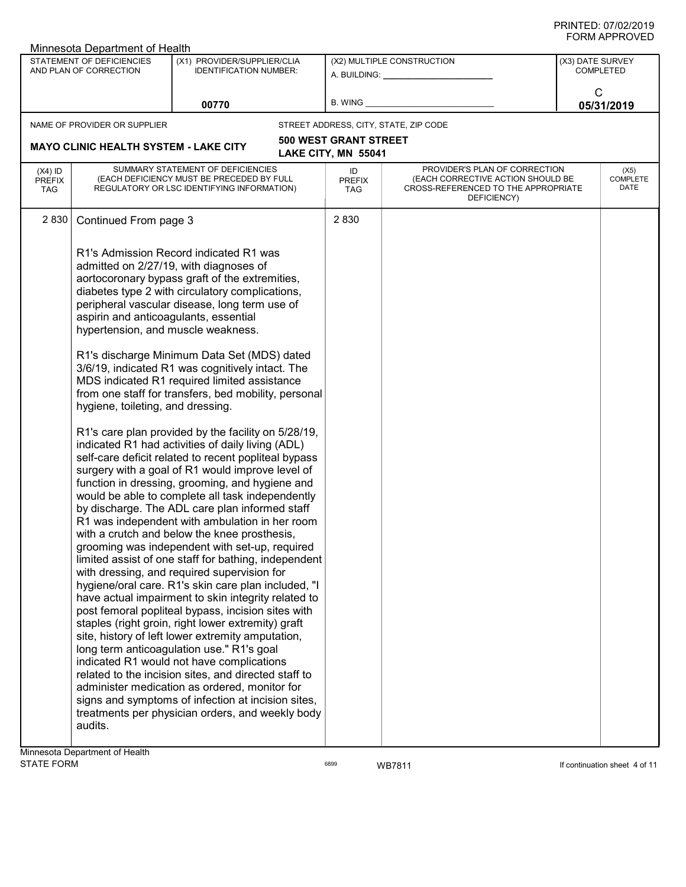| FUNIVI AFFNUVEU<br>Minnesota Department of Health |                                                                                                                             |                                                                                                                                                                                                                                                                                                                                                                                                                                                                                                                                                                                                                                                                                                                                                                                                                                                                                                                                                                                                                                                                                                                                                                                                                                                                                                                                                                                                                                                                                                                                                                                                                                                                                           |                                                     |                                                                                                                          |  |                                      |  |
|---------------------------------------------------|-----------------------------------------------------------------------------------------------------------------------------|-------------------------------------------------------------------------------------------------------------------------------------------------------------------------------------------------------------------------------------------------------------------------------------------------------------------------------------------------------------------------------------------------------------------------------------------------------------------------------------------------------------------------------------------------------------------------------------------------------------------------------------------------------------------------------------------------------------------------------------------------------------------------------------------------------------------------------------------------------------------------------------------------------------------------------------------------------------------------------------------------------------------------------------------------------------------------------------------------------------------------------------------------------------------------------------------------------------------------------------------------------------------------------------------------------------------------------------------------------------------------------------------------------------------------------------------------------------------------------------------------------------------------------------------------------------------------------------------------------------------------------------------------------------------------------------------|-----------------------------------------------------|--------------------------------------------------------------------------------------------------------------------------|--|--------------------------------------|--|
|                                                   | STATEMENT OF DEFICIENCIES<br>AND PLAN OF CORRECTION                                                                         | (X1) PROVIDER/SUPPLIER/CLIA<br><b>IDENTIFICATION NUMBER:</b>                                                                                                                                                                                                                                                                                                                                                                                                                                                                                                                                                                                                                                                                                                                                                                                                                                                                                                                                                                                                                                                                                                                                                                                                                                                                                                                                                                                                                                                                                                                                                                                                                              |                                                     | (X2) MULTIPLE CONSTRUCTION                                                                                               |  | (X3) DATE SURVEY<br><b>COMPLETED</b> |  |
| 00770                                             |                                                                                                                             |                                                                                                                                                                                                                                                                                                                                                                                                                                                                                                                                                                                                                                                                                                                                                                                                                                                                                                                                                                                                                                                                                                                                                                                                                                                                                                                                                                                                                                                                                                                                                                                                                                                                                           |                                                     | C<br>05/31/2019                                                                                                          |  |                                      |  |
|                                                   | NAME OF PROVIDER OR SUPPLIER                                                                                                |                                                                                                                                                                                                                                                                                                                                                                                                                                                                                                                                                                                                                                                                                                                                                                                                                                                                                                                                                                                                                                                                                                                                                                                                                                                                                                                                                                                                                                                                                                                                                                                                                                                                                           |                                                     | STREET ADDRESS, CITY, STATE, ZIP CODE                                                                                    |  |                                      |  |
|                                                   | <b>MAYO CLINIC HEALTH SYSTEM - LAKE CITY</b>                                                                                |                                                                                                                                                                                                                                                                                                                                                                                                                                                                                                                                                                                                                                                                                                                                                                                                                                                                                                                                                                                                                                                                                                                                                                                                                                                                                                                                                                                                                                                                                                                                                                                                                                                                                           | <b>500 WEST GRANT STREET</b><br>LAKE CITY, MN 55041 |                                                                                                                          |  |                                      |  |
| $(X4)$ ID<br><b>PREFIX</b><br><b>TAG</b>          |                                                                                                                             | SUMMARY STATEMENT OF DEFICIENCIES<br>(EACH DEFICIENCY MUST BE PRECEDED BY FULL<br>REGULATORY OR LSC IDENTIFYING INFORMATION)                                                                                                                                                                                                                                                                                                                                                                                                                                                                                                                                                                                                                                                                                                                                                                                                                                                                                                                                                                                                                                                                                                                                                                                                                                                                                                                                                                                                                                                                                                                                                              | ID<br><b>PREFIX</b><br><b>TAG</b>                   | PROVIDER'S PLAN OF CORRECTION<br>(EACH CORRECTIVE ACTION SHOULD BE<br>CROSS-REFERENCED TO THE APPROPRIATE<br>DEFICIENCY) |  | (X5)<br><b>COMPLETE</b><br>DATE      |  |
| 2830                                              | Continued From page 3                                                                                                       |                                                                                                                                                                                                                                                                                                                                                                                                                                                                                                                                                                                                                                                                                                                                                                                                                                                                                                                                                                                                                                                                                                                                                                                                                                                                                                                                                                                                                                                                                                                                                                                                                                                                                           | 2830                                                |                                                                                                                          |  |                                      |  |
|                                                   | aspirin and anticoagulants, essential<br>hypertension, and muscle weakness.<br>hygiene, toileting, and dressing.<br>audits. | R1's Admission Record indicated R1 was<br>admitted on 2/27/19, with diagnoses of<br>aortocoronary bypass graft of the extremities,<br>diabetes type 2 with circulatory complications,<br>peripheral vascular disease, long term use of<br>R1's discharge Minimum Data Set (MDS) dated<br>3/6/19, indicated R1 was cognitively intact. The<br>MDS indicated R1 required limited assistance<br>from one staff for transfers, bed mobility, personal<br>R1's care plan provided by the facility on 5/28/19,<br>indicated R1 had activities of daily living (ADL)<br>self-care deficit related to recent popliteal bypass<br>surgery with a goal of R1 would improve level of<br>function in dressing, grooming, and hygiene and<br>would be able to complete all task independently<br>by discharge. The ADL care plan informed staff<br>R1 was independent with ambulation in her room<br>with a crutch and below the knee prosthesis,<br>grooming was independent with set-up, required<br>limited assist of one staff for bathing, independent<br>with dressing, and required supervision for<br>hygiene/oral care. R1's skin care plan included, "I<br>have actual impairment to skin integrity related to<br>post femoral popliteal bypass, incision sites with<br>staples (right groin, right lower extremity) graft<br>site, history of left lower extremity amputation,<br>long term anticoagulation use." R1's goal<br>indicated R1 would not have complications<br>related to the incision sites, and directed staff to<br>administer medication as ordered, monitor for<br>signs and symptoms of infection at incision sites,<br>treatments per physician orders, and weekly body |                                                     |                                                                                                                          |  |                                      |  |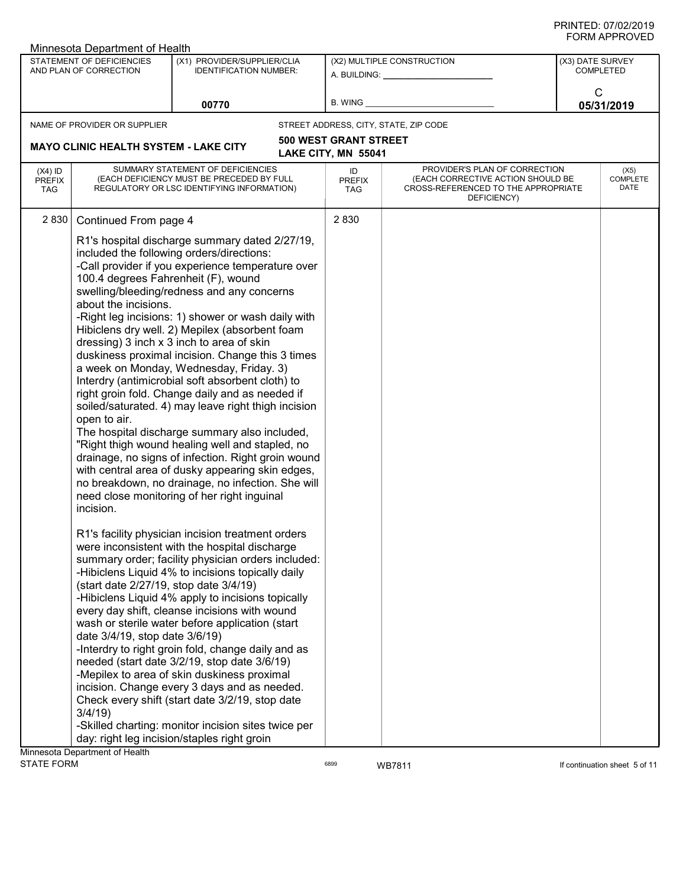|                                          | Minnesota Department of Health                                                                                                    |                                                                                                                                                                                                                                                                                                                                                                                                                                                                                                                                                                                                                                                                                                                                                                                                                                                                       |                              |                                                                                                                          |                  |                                 |
|------------------------------------------|-----------------------------------------------------------------------------------------------------------------------------------|-----------------------------------------------------------------------------------------------------------------------------------------------------------------------------------------------------------------------------------------------------------------------------------------------------------------------------------------------------------------------------------------------------------------------------------------------------------------------------------------------------------------------------------------------------------------------------------------------------------------------------------------------------------------------------------------------------------------------------------------------------------------------------------------------------------------------------------------------------------------------|------------------------------|--------------------------------------------------------------------------------------------------------------------------|------------------|---------------------------------|
|                                          | STATEMENT OF DEFICIENCIES<br>AND PLAN OF CORRECTION                                                                               | (X1) PROVIDER/SUPPLIER/CLIA<br><b>IDENTIFICATION NUMBER:</b>                                                                                                                                                                                                                                                                                                                                                                                                                                                                                                                                                                                                                                                                                                                                                                                                          |                              | (X2) MULTIPLE CONSTRUCTION                                                                                               | (X3) DATE SURVEY | <b>COMPLETED</b>                |
|                                          |                                                                                                                                   |                                                                                                                                                                                                                                                                                                                                                                                                                                                                                                                                                                                                                                                                                                                                                                                                                                                                       |                              | A. BUILDING: A.                                                                                                          |                  |                                 |
|                                          |                                                                                                                                   | 00770                                                                                                                                                                                                                                                                                                                                                                                                                                                                                                                                                                                                                                                                                                                                                                                                                                                                 | B. WING                      |                                                                                                                          | $\mathsf{C}$     | 05/31/2019                      |
|                                          | NAME OF PROVIDER OR SUPPLIER                                                                                                      |                                                                                                                                                                                                                                                                                                                                                                                                                                                                                                                                                                                                                                                                                                                                                                                                                                                                       |                              | STREET ADDRESS, CITY, STATE, ZIP CODE                                                                                    |                  |                                 |
|                                          |                                                                                                                                   |                                                                                                                                                                                                                                                                                                                                                                                                                                                                                                                                                                                                                                                                                                                                                                                                                                                                       | <b>500 WEST GRANT STREET</b> |                                                                                                                          |                  |                                 |
|                                          | <b>MAYO CLINIC HEALTH SYSTEM - LAKE CITY</b>                                                                                      |                                                                                                                                                                                                                                                                                                                                                                                                                                                                                                                                                                                                                                                                                                                                                                                                                                                                       | LAKE CITY, MN 55041          |                                                                                                                          |                  |                                 |
| $(X4)$ ID<br><b>PREFIX</b><br><b>TAG</b> |                                                                                                                                   | SUMMARY STATEMENT OF DEFICIENCIES<br>(EACH DEFICIENCY MUST BE PRECEDED BY FULL<br>REGULATORY OR LSC IDENTIFYING INFORMATION)                                                                                                                                                                                                                                                                                                                                                                                                                                                                                                                                                                                                                                                                                                                                          | ID<br><b>PREFIX</b><br>TAG   | PROVIDER'S PLAN OF CORRECTION<br>(EACH CORRECTIVE ACTION SHOULD BE<br>CROSS-REFERENCED TO THE APPROPRIATE<br>DEFICIENCY) |                  | (X5)<br><b>COMPLETE</b><br>DATE |
|                                          | Continued From page 4<br>about the incisions.<br>open to air.                                                                     | R1's hospital discharge summary dated 2/27/19,<br>included the following orders/directions:<br>-Call provider if you experience temperature over<br>100.4 degrees Fahrenheit (F), wound<br>swelling/bleeding/redness and any concerns<br>-Right leg incisions: 1) shower or wash daily with<br>Hibiclens dry well. 2) Mepilex (absorbent foam<br>dressing) 3 inch x 3 inch to area of skin<br>duskiness proximal incision. Change this 3 times<br>a week on Monday, Wednesday, Friday. 3)<br>Interdry (antimicrobial soft absorbent cloth) to<br>right groin fold. Change daily and as needed if<br>soiled/saturated. 4) may leave right thigh incision<br>The hospital discharge summary also included,<br>"Right thigh wound healing well and stapled, no<br>drainage, no signs of infection. Right groin wound<br>with central area of dusky appearing skin edges, |                              |                                                                                                                          |                  |                                 |
| <b>STATE FORM</b>                        | incision.<br>(start date 2/27/19, stop date 3/4/19)<br>date 3/4/19, stop date 3/6/19)<br>3/4/19<br>Minnesota Department of Health | no breakdown, no drainage, no infection. She will<br>need close monitoring of her right inguinal<br>R1's facility physician incision treatment orders<br>were inconsistent with the hospital discharge<br>summary order; facility physician orders included:<br>-Hibiclens Liquid 4% to incisions topically daily<br>-Hibiclens Liquid 4% apply to incisions topically<br>every day shift, cleanse incisions with wound<br>wash or sterile water before application (start<br>-Interdry to right groin fold, change daily and as<br>needed (start date 3/2/19, stop date 3/6/19)<br>-Mepilex to area of skin duskiness proximal<br>incision. Change every 3 days and as needed.<br>Check every shift (start date 3/2/19, stop date<br>-Skilled charting: monitor incision sites twice per<br>day: right leg incision/staples right groin                              | 6899                         | WB7811                                                                                                                   |                  | If continuation sheet 5 of 11   |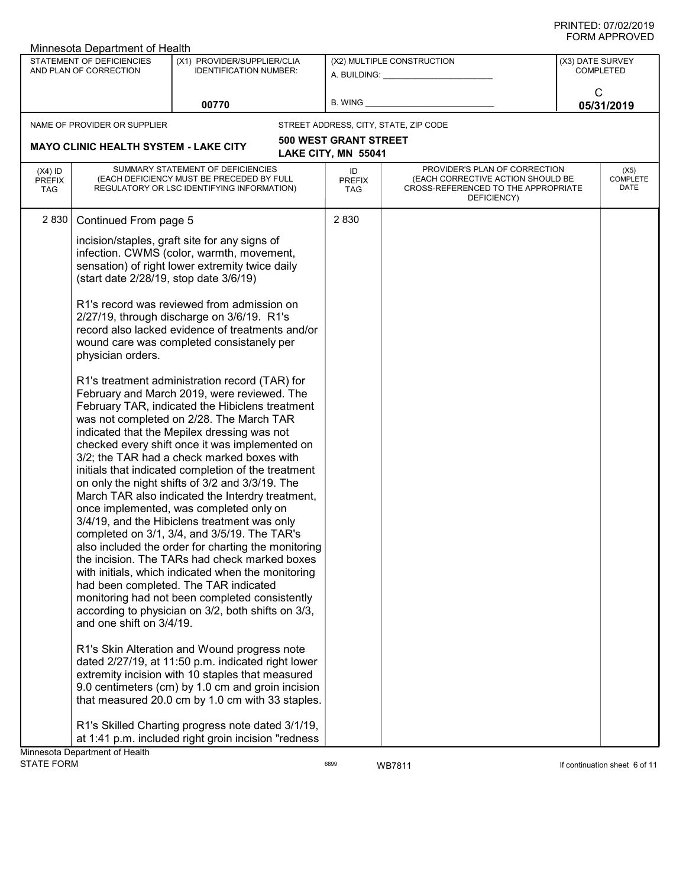|                                          | Minnesota Department of Health                      |                                                                                                                                                                                                                                                                                                                                                                                                                                                                                                                                                                                                                                                                                                                                                                                                                                                                                                                                                                     |                                   |                                                                                                                          |                                      |                                 |
|------------------------------------------|-----------------------------------------------------|---------------------------------------------------------------------------------------------------------------------------------------------------------------------------------------------------------------------------------------------------------------------------------------------------------------------------------------------------------------------------------------------------------------------------------------------------------------------------------------------------------------------------------------------------------------------------------------------------------------------------------------------------------------------------------------------------------------------------------------------------------------------------------------------------------------------------------------------------------------------------------------------------------------------------------------------------------------------|-----------------------------------|--------------------------------------------------------------------------------------------------------------------------|--------------------------------------|---------------------------------|
|                                          | STATEMENT OF DEFICIENCIES<br>AND PLAN OF CORRECTION | (X1) PROVIDER/SUPPLIER/CLIA<br><b>IDENTIFICATION NUMBER:</b>                                                                                                                                                                                                                                                                                                                                                                                                                                                                                                                                                                                                                                                                                                                                                                                                                                                                                                        |                                   | (X2) MULTIPLE CONSTRUCTION<br>A. BUILDING: A. BUILDING:                                                                  | (X3) DATE SURVEY<br><b>COMPLETED</b> |                                 |
|                                          |                                                     | 00770                                                                                                                                                                                                                                                                                                                                                                                                                                                                                                                                                                                                                                                                                                                                                                                                                                                                                                                                                               | B. WING                           |                                                                                                                          | $\mathsf{C}$                         | 05/31/2019                      |
|                                          | NAME OF PROVIDER OR SUPPLIER                        |                                                                                                                                                                                                                                                                                                                                                                                                                                                                                                                                                                                                                                                                                                                                                                                                                                                                                                                                                                     |                                   | STREET ADDRESS, CITY, STATE, ZIP CODE                                                                                    |                                      |                                 |
|                                          |                                                     |                                                                                                                                                                                                                                                                                                                                                                                                                                                                                                                                                                                                                                                                                                                                                                                                                                                                                                                                                                     | <b>500 WEST GRANT STREET</b>      |                                                                                                                          |                                      |                                 |
|                                          | <b>MAYO CLINIC HEALTH SYSTEM - LAKE CITY</b>        |                                                                                                                                                                                                                                                                                                                                                                                                                                                                                                                                                                                                                                                                                                                                                                                                                                                                                                                                                                     | LAKE CITY, MN 55041               |                                                                                                                          |                                      |                                 |
| $(X4)$ ID<br><b>PREFIX</b><br><b>TAG</b> |                                                     | SUMMARY STATEMENT OF DEFICIENCIES<br>(EACH DEFICIENCY MUST BE PRECEDED BY FULL<br>REGULATORY OR LSC IDENTIFYING INFORMATION)                                                                                                                                                                                                                                                                                                                                                                                                                                                                                                                                                                                                                                                                                                                                                                                                                                        | ID<br><b>PREFIX</b><br><b>TAG</b> | PROVIDER'S PLAN OF CORRECTION<br>(EACH CORRECTIVE ACTION SHOULD BE<br>CROSS-REFERENCED TO THE APPROPRIATE<br>DEFICIENCY) |                                      | (X5)<br><b>COMPLETE</b><br>DATE |
| 2 8 3 0                                  | Continued From page 5                               |                                                                                                                                                                                                                                                                                                                                                                                                                                                                                                                                                                                                                                                                                                                                                                                                                                                                                                                                                                     | 2830                              |                                                                                                                          |                                      |                                 |
|                                          | (start date 2/28/19, stop date 3/6/19)              | incision/staples, graft site for any signs of<br>infection. CWMS (color, warmth, movement,<br>sensation) of right lower extremity twice daily                                                                                                                                                                                                                                                                                                                                                                                                                                                                                                                                                                                                                                                                                                                                                                                                                       |                                   |                                                                                                                          |                                      |                                 |
|                                          | physician orders.                                   | R1's record was reviewed from admission on<br>2/27/19, through discharge on 3/6/19. R1's<br>record also lacked evidence of treatments and/or<br>wound care was completed consistanely per                                                                                                                                                                                                                                                                                                                                                                                                                                                                                                                                                                                                                                                                                                                                                                           |                                   |                                                                                                                          |                                      |                                 |
|                                          | and one shift on 3/4/19.                            | R1's treatment administration record (TAR) for<br>February and March 2019, were reviewed. The<br>February TAR, indicated the Hibiclens treatment<br>was not completed on 2/28. The March TAR<br>indicated that the Mepilex dressing was not<br>checked every shift once it was implemented on<br>3/2; the TAR had a check marked boxes with<br>initials that indicated completion of the treatment<br>on only the night shifts of 3/2 and 3/3/19. The<br>March TAR also indicated the Interdry treatment,<br>once implemented, was completed only on<br>3/4/19, and the Hibiclens treatment was only<br>completed on 3/1, 3/4, and 3/5/19. The TAR's<br>also included the order for charting the monitoring<br>the incision. The TARs had check marked boxes<br>with initials, which indicated when the monitoring<br>had been completed. The TAR indicated<br>monitoring had not been completed consistently<br>according to physician on 3/2, both shifts on 3/3, |                                   |                                                                                                                          |                                      |                                 |
|                                          |                                                     | R1's Skin Alteration and Wound progress note<br>dated 2/27/19, at 11:50 p.m. indicated right lower<br>extremity incision with 10 staples that measured<br>9.0 centimeters (cm) by 1.0 cm and groin incision<br>that measured 20.0 cm by 1.0 cm with 33 staples.                                                                                                                                                                                                                                                                                                                                                                                                                                                                                                                                                                                                                                                                                                     |                                   |                                                                                                                          |                                      |                                 |
|                                          | Minnesota Department of Health                      | R1's Skilled Charting progress note dated 3/1/19,<br>at 1:41 p.m. included right groin incision "redness                                                                                                                                                                                                                                                                                                                                                                                                                                                                                                                                                                                                                                                                                                                                                                                                                                                            |                                   |                                                                                                                          |                                      |                                 |
| <b>STATE FORM</b>                        |                                                     |                                                                                                                                                                                                                                                                                                                                                                                                                                                                                                                                                                                                                                                                                                                                                                                                                                                                                                                                                                     | 6899                              | <b>WB7811</b>                                                                                                            |                                      | If continuation sheet 6 of 11   |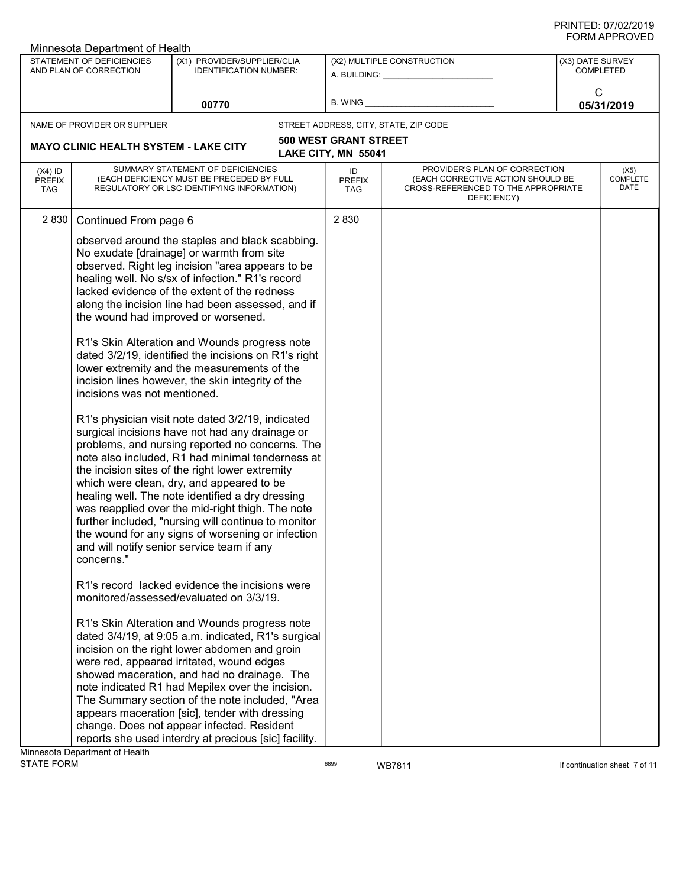| ៶៲៴៲៸៶៲៲៶៴៴៲៲<br>Minnesota Department of Health |                                                     |                                                                                                                                                                                                                                                                                                                                                                                                                                                                                                                                                                                                                                                                                                                                                                                                                                                                                                                                                                                                                                                                                                                                                |                                                     |                                                                                                                          |            |                                      |
|-------------------------------------------------|-----------------------------------------------------|------------------------------------------------------------------------------------------------------------------------------------------------------------------------------------------------------------------------------------------------------------------------------------------------------------------------------------------------------------------------------------------------------------------------------------------------------------------------------------------------------------------------------------------------------------------------------------------------------------------------------------------------------------------------------------------------------------------------------------------------------------------------------------------------------------------------------------------------------------------------------------------------------------------------------------------------------------------------------------------------------------------------------------------------------------------------------------------------------------------------------------------------|-----------------------------------------------------|--------------------------------------------------------------------------------------------------------------------------|------------|--------------------------------------|
|                                                 | STATEMENT OF DEFICIENCIES<br>AND PLAN OF CORRECTION | (X1) PROVIDER/SUPPLIER/CLIA<br><b>IDENTIFICATION NUMBER:</b>                                                                                                                                                                                                                                                                                                                                                                                                                                                                                                                                                                                                                                                                                                                                                                                                                                                                                                                                                                                                                                                                                   |                                                     | (X2) MULTIPLE CONSTRUCTION<br>A. BUILDING: ___________________                                                           |            | (X3) DATE SURVEY<br><b>COMPLETED</b> |
| 00770                                           |                                                     |                                                                                                                                                                                                                                                                                                                                                                                                                                                                                                                                                                                                                                                                                                                                                                                                                                                                                                                                                                                                                                                                                                                                                | B. WING                                             | C                                                                                                                        | 05/31/2019 |                                      |
|                                                 | NAME OF PROVIDER OR SUPPLIER                        |                                                                                                                                                                                                                                                                                                                                                                                                                                                                                                                                                                                                                                                                                                                                                                                                                                                                                                                                                                                                                                                                                                                                                |                                                     | STREET ADDRESS, CITY, STATE, ZIP CODE                                                                                    |            |                                      |
|                                                 | <b>MAYO CLINIC HEALTH SYSTEM - LAKE CITY</b>        |                                                                                                                                                                                                                                                                                                                                                                                                                                                                                                                                                                                                                                                                                                                                                                                                                                                                                                                                                                                                                                                                                                                                                | <b>500 WEST GRANT STREET</b><br>LAKE CITY, MN 55041 |                                                                                                                          |            |                                      |
| $(X4)$ ID<br><b>PREFIX</b><br><b>TAG</b>        |                                                     | SUMMARY STATEMENT OF DEFICIENCIES<br>(EACH DEFICIENCY MUST BE PRECEDED BY FULL<br>REGULATORY OR LSC IDENTIFYING INFORMATION)                                                                                                                                                                                                                                                                                                                                                                                                                                                                                                                                                                                                                                                                                                                                                                                                                                                                                                                                                                                                                   | ID<br><b>PREFIX</b><br><b>TAG</b>                   | PROVIDER'S PLAN OF CORRECTION<br>(EACH CORRECTIVE ACTION SHOULD BE<br>CROSS-REFERENCED TO THE APPROPRIATE<br>DEFICIENCY) |            | (X5)<br>COMPLETE<br>DATE             |
| 2 8 3 0                                         | Continued From page 6                               |                                                                                                                                                                                                                                                                                                                                                                                                                                                                                                                                                                                                                                                                                                                                                                                                                                                                                                                                                                                                                                                                                                                                                | 2830                                                |                                                                                                                          |            |                                      |
|                                                 | incisions was not mentioned.<br>concerns."          | observed around the staples and black scabbing.<br>No exudate [drainage] or warmth from site<br>observed. Right leg incision "area appears to be<br>healing well. No s/sx of infection." R1's record<br>lacked evidence of the extent of the redness<br>along the incision line had been assessed, and if<br>the wound had improved or worsened.<br>R1's Skin Alteration and Wounds progress note<br>dated 3/2/19, identified the incisions on R1's right<br>lower extremity and the measurements of the<br>incision lines however, the skin integrity of the<br>R1's physician visit note dated 3/2/19, indicated<br>surgical incisions have not had any drainage or<br>problems, and nursing reported no concerns. The<br>note also included, R1 had minimal tenderness at<br>the incision sites of the right lower extremity<br>which were clean, dry, and appeared to be<br>healing well. The note identified a dry dressing<br>was reapplied over the mid-right thigh. The note<br>further included, "nursing will continue to monitor<br>the wound for any signs of worsening or infection<br>and will notify senior service team if any |                                                     |                                                                                                                          |            |                                      |
|                                                 |                                                     | R1's record lacked evidence the incisions were<br>monitored/assessed/evaluated on 3/3/19.                                                                                                                                                                                                                                                                                                                                                                                                                                                                                                                                                                                                                                                                                                                                                                                                                                                                                                                                                                                                                                                      |                                                     |                                                                                                                          |            |                                      |
|                                                 | Minnesota Denartment of Health                      | R1's Skin Alteration and Wounds progress note<br>dated 3/4/19, at 9:05 a.m. indicated, R1's surgical<br>incision on the right lower abdomen and groin<br>were red, appeared irritated, wound edges<br>showed maceration, and had no drainage. The<br>note indicated R1 had Mepilex over the incision.<br>The Summary section of the note included, "Area<br>appears maceration [sic], tender with dressing<br>change. Does not appear infected. Resident<br>reports she used interdry at precious [sic] facility.                                                                                                                                                                                                                                                                                                                                                                                                                                                                                                                                                                                                                              |                                                     |                                                                                                                          |            |                                      |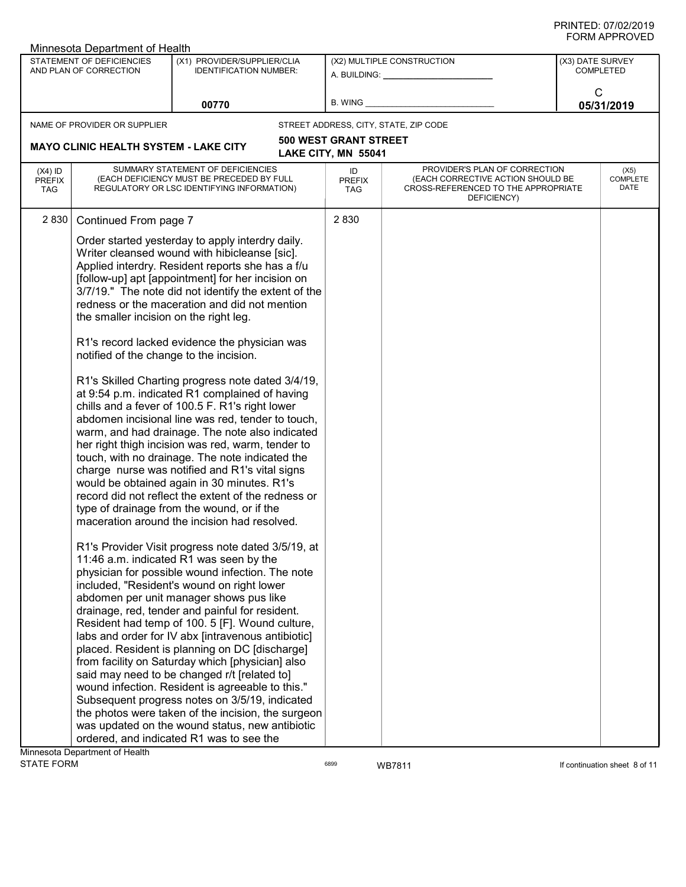| Minnesota Department of Health           |                                                                                   |                                                                                                                                                                                                                                                                                                                                                                                                                                                                                                                                                                                                                                                                                                                                                                                                                                                                                                                                                                                                                                                                                                                                                                                                                                                                                                                                                                                                                                                                                                                                                                                                                                                                                                                                                                                                                                 |                                   |                                                                                                                          |                  |                                 |
|------------------------------------------|-----------------------------------------------------------------------------------|---------------------------------------------------------------------------------------------------------------------------------------------------------------------------------------------------------------------------------------------------------------------------------------------------------------------------------------------------------------------------------------------------------------------------------------------------------------------------------------------------------------------------------------------------------------------------------------------------------------------------------------------------------------------------------------------------------------------------------------------------------------------------------------------------------------------------------------------------------------------------------------------------------------------------------------------------------------------------------------------------------------------------------------------------------------------------------------------------------------------------------------------------------------------------------------------------------------------------------------------------------------------------------------------------------------------------------------------------------------------------------------------------------------------------------------------------------------------------------------------------------------------------------------------------------------------------------------------------------------------------------------------------------------------------------------------------------------------------------------------------------------------------------------------------------------------------------|-----------------------------------|--------------------------------------------------------------------------------------------------------------------------|------------------|---------------------------------|
|                                          | STATEMENT OF DEFICIENCIES<br>AND PLAN OF CORRECTION                               | (X1) PROVIDER/SUPPLIER/CLIA<br><b>IDENTIFICATION NUMBER:</b>                                                                                                                                                                                                                                                                                                                                                                                                                                                                                                                                                                                                                                                                                                                                                                                                                                                                                                                                                                                                                                                                                                                                                                                                                                                                                                                                                                                                                                                                                                                                                                                                                                                                                                                                                                    |                                   | (X2) MULTIPLE CONSTRUCTION<br>A. BUILDING: A. BUILDING:                                                                  | (X3) DATE SURVEY | <b>COMPLETED</b>                |
|                                          |                                                                                   | 00770                                                                                                                                                                                                                                                                                                                                                                                                                                                                                                                                                                                                                                                                                                                                                                                                                                                                                                                                                                                                                                                                                                                                                                                                                                                                                                                                                                                                                                                                                                                                                                                                                                                                                                                                                                                                                           | B. WING                           |                                                                                                                          | C                | 05/31/2019                      |
|                                          | NAME OF PROVIDER OR SUPPLIER                                                      |                                                                                                                                                                                                                                                                                                                                                                                                                                                                                                                                                                                                                                                                                                                                                                                                                                                                                                                                                                                                                                                                                                                                                                                                                                                                                                                                                                                                                                                                                                                                                                                                                                                                                                                                                                                                                                 |                                   | STREET ADDRESS, CITY, STATE, ZIP CODE                                                                                    |                  |                                 |
|                                          |                                                                                   |                                                                                                                                                                                                                                                                                                                                                                                                                                                                                                                                                                                                                                                                                                                                                                                                                                                                                                                                                                                                                                                                                                                                                                                                                                                                                                                                                                                                                                                                                                                                                                                                                                                                                                                                                                                                                                 | <b>500 WEST GRANT STREET</b>      |                                                                                                                          |                  |                                 |
|                                          | <b>MAYO CLINIC HEALTH SYSTEM - LAKE CITY</b>                                      |                                                                                                                                                                                                                                                                                                                                                                                                                                                                                                                                                                                                                                                                                                                                                                                                                                                                                                                                                                                                                                                                                                                                                                                                                                                                                                                                                                                                                                                                                                                                                                                                                                                                                                                                                                                                                                 | LAKE CITY, MN 55041               |                                                                                                                          |                  |                                 |
| $(X4)$ ID<br><b>PREFIX</b><br><b>TAG</b> |                                                                                   | SUMMARY STATEMENT OF DEFICIENCIES<br>(EACH DEFICIENCY MUST BE PRECEDED BY FULL<br>REGULATORY OR LSC IDENTIFYING INFORMATION)                                                                                                                                                                                                                                                                                                                                                                                                                                                                                                                                                                                                                                                                                                                                                                                                                                                                                                                                                                                                                                                                                                                                                                                                                                                                                                                                                                                                                                                                                                                                                                                                                                                                                                    | ID<br><b>PREFIX</b><br><b>TAG</b> | PROVIDER'S PLAN OF CORRECTION<br>(EACH CORRECTIVE ACTION SHOULD BE<br>CROSS-REFERENCED TO THE APPROPRIATE<br>DEFICIENCY) |                  | (X5)<br><b>COMPLETE</b><br>DATE |
| 2 8 3 0                                  | Continued From page 7                                                             |                                                                                                                                                                                                                                                                                                                                                                                                                                                                                                                                                                                                                                                                                                                                                                                                                                                                                                                                                                                                                                                                                                                                                                                                                                                                                                                                                                                                                                                                                                                                                                                                                                                                                                                                                                                                                                 | 2830                              |                                                                                                                          |                  |                                 |
|                                          | the smaller incision on the right leg.<br>notified of the change to the incision. | Order started yesterday to apply interdry daily.<br>Writer cleansed wound with hibicleanse [sic].<br>Applied interdry. Resident reports she has a f/u<br>[follow-up] apt [appointment] for her incision on<br>3/7/19." The note did not identify the extent of the<br>redness or the maceration and did not mention<br>R1's record lacked evidence the physician was<br>R1's Skilled Charting progress note dated 3/4/19,<br>at 9:54 p.m. indicated R1 complained of having<br>chills and a fever of 100.5 F. R1's right lower<br>abdomen incisional line was red, tender to touch,<br>warm, and had drainage. The note also indicated<br>her right thigh incision was red, warm, tender to<br>touch, with no drainage. The note indicated the<br>charge nurse was notified and R1's vital signs<br>would be obtained again in 30 minutes. R1's<br>record did not reflect the extent of the redness or<br>type of drainage from the wound, or if the<br>maceration around the incision had resolved.<br>R1's Provider Visit progress note dated 3/5/19, at<br>11:46 a.m. indicated R1 was seen by the<br>physician for possible wound infection. The note<br>included, "Resident's wound on right lower<br>abdomen per unit manager shows pus like<br>drainage, red, tender and painful for resident.<br>Resident had temp of 100. 5 [F]. Wound culture,<br>labs and order for IV abx [intravenous antibiotic]<br>placed. Resident is planning on DC [discharge]<br>from facility on Saturday which [physician] also<br>said may need to be changed r/t [related to]<br>wound infection. Resident is agreeable to this."<br>Subsequent progress notes on 3/5/19, indicated<br>the photos were taken of the incision, the surgeon<br>was updated on the wound status, new antibiotic<br>ordered, and indicated R1 was to see the |                                   |                                                                                                                          |                  |                                 |
|                                          | Minnesota Department of Health                                                    |                                                                                                                                                                                                                                                                                                                                                                                                                                                                                                                                                                                                                                                                                                                                                                                                                                                                                                                                                                                                                                                                                                                                                                                                                                                                                                                                                                                                                                                                                                                                                                                                                                                                                                                                                                                                                                 |                                   |                                                                                                                          |                  |                                 |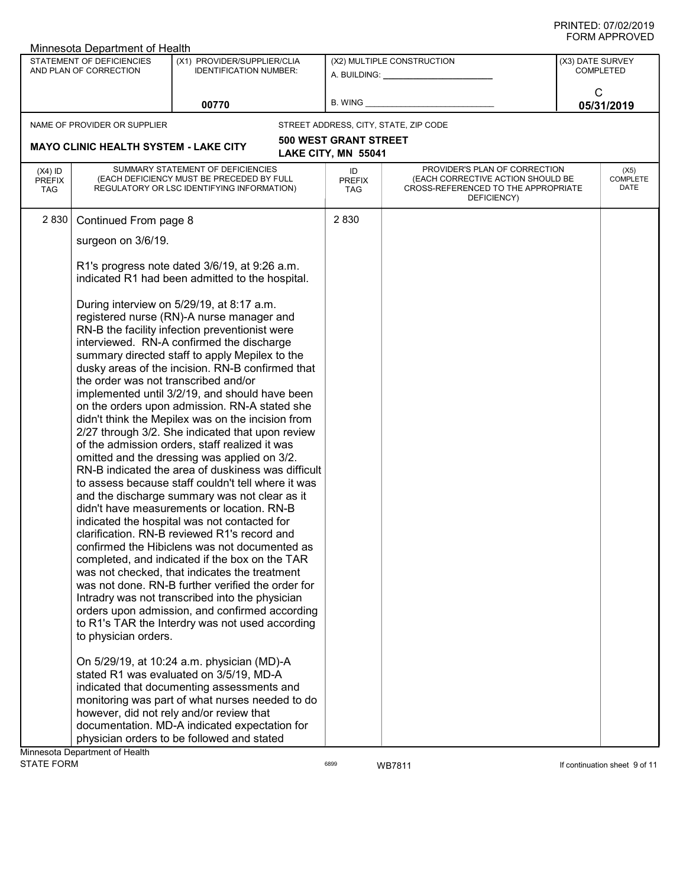| Minnesota Department of Health           |                                                     |                                                                                                                              |                                   |                                                                                                                          |                                      |                                 |
|------------------------------------------|-----------------------------------------------------|------------------------------------------------------------------------------------------------------------------------------|-----------------------------------|--------------------------------------------------------------------------------------------------------------------------|--------------------------------------|---------------------------------|
|                                          | STATEMENT OF DEFICIENCIES<br>AND PLAN OF CORRECTION | (X1) PROVIDER/SUPPLIER/CLIA<br><b>IDENTIFICATION NUMBER:</b>                                                                 | (X2) MULTIPLE CONSTRUCTION        |                                                                                                                          | (X3) DATE SURVEY<br><b>COMPLETED</b> |                                 |
|                                          |                                                     |                                                                                                                              |                                   |                                                                                                                          |                                      |                                 |
|                                          |                                                     | 00770                                                                                                                        | <b>B. WING</b>                    |                                                                                                                          | C                                    | 05/31/2019                      |
|                                          | NAME OF PROVIDER OR SUPPLIER                        |                                                                                                                              |                                   | STREET ADDRESS, CITY, STATE, ZIP CODE                                                                                    |                                      |                                 |
|                                          | <b>MAYO CLINIC HEALTH SYSTEM - LAKE CITY</b>        |                                                                                                                              | <b>500 WEST GRANT STREET</b>      |                                                                                                                          |                                      |                                 |
|                                          |                                                     |                                                                                                                              | LAKE CITY, MN 55041               |                                                                                                                          |                                      |                                 |
| $(X4)$ ID<br><b>PREFIX</b><br><b>TAG</b> |                                                     | SUMMARY STATEMENT OF DEFICIENCIES<br>(EACH DEFICIENCY MUST BE PRECEDED BY FULL<br>REGULATORY OR LSC IDENTIFYING INFORMATION) | ID<br><b>PREFIX</b><br><b>TAG</b> | PROVIDER'S PLAN OF CORRECTION<br>(EACH CORRECTIVE ACTION SHOULD BE<br>CROSS-REFERENCED TO THE APPROPRIATE<br>DEFICIENCY) |                                      | (X5)<br><b>COMPLETE</b><br>DATE |
| 2 8 3 0                                  | Continued From page 8                               |                                                                                                                              | 2830                              |                                                                                                                          |                                      |                                 |
|                                          | surgeon on 3/6/19.                                  |                                                                                                                              |                                   |                                                                                                                          |                                      |                                 |
|                                          |                                                     | R1's progress note dated 3/6/19, at 9:26 a.m.<br>indicated R1 had been admitted to the hospital.                             |                                   |                                                                                                                          |                                      |                                 |
|                                          |                                                     | During interview on 5/29/19, at 8:17 a.m.<br>registered nurse (RN)-A nurse manager and                                       |                                   |                                                                                                                          |                                      |                                 |
|                                          |                                                     | RN-B the facility infection preventionist were<br>interviewed. RN-A confirmed the discharge                                  |                                   |                                                                                                                          |                                      |                                 |
|                                          |                                                     | summary directed staff to apply Mepilex to the                                                                               |                                   |                                                                                                                          |                                      |                                 |
|                                          | the order was not transcribed and/or                | dusky areas of the incision. RN-B confirmed that                                                                             |                                   |                                                                                                                          |                                      |                                 |
|                                          |                                                     | implemented until 3/2/19, and should have been<br>on the orders upon admission. RN-A stated she                              |                                   |                                                                                                                          |                                      |                                 |
|                                          |                                                     | didn't think the Mepilex was on the incision from                                                                            |                                   |                                                                                                                          |                                      |                                 |
|                                          |                                                     | 2/27 through 3/2. She indicated that upon review<br>of the admission orders, staff realized it was                           |                                   |                                                                                                                          |                                      |                                 |
|                                          |                                                     | omitted and the dressing was applied on 3/2.<br>RN-B indicated the area of duskiness was difficult                           |                                   |                                                                                                                          |                                      |                                 |
|                                          |                                                     | to assess because staff couldn't tell where it was                                                                           |                                   |                                                                                                                          |                                      |                                 |
|                                          |                                                     | and the discharge summary was not clear as it<br>didn't have measurements or location. RN-B                                  |                                   |                                                                                                                          |                                      |                                 |
|                                          |                                                     | indicated the hospital was not contacted for                                                                                 |                                   |                                                                                                                          |                                      |                                 |
|                                          |                                                     | clarification. RN-B reviewed R1's record and<br>confirmed the Hibiclens was not documented as                                |                                   |                                                                                                                          |                                      |                                 |
|                                          |                                                     | completed, and indicated if the box on the TAR<br>was not checked, that indicates the treatment                              |                                   |                                                                                                                          |                                      |                                 |
|                                          |                                                     | was not done. RN-B further verified the order for                                                                            |                                   |                                                                                                                          |                                      |                                 |
|                                          |                                                     | Intradry was not transcribed into the physician<br>orders upon admission, and confirmed according                            |                                   |                                                                                                                          |                                      |                                 |
|                                          |                                                     | to R1's TAR the Interdry was not used according                                                                              |                                   |                                                                                                                          |                                      |                                 |
|                                          | to physician orders.                                |                                                                                                                              |                                   |                                                                                                                          |                                      |                                 |
|                                          |                                                     | On 5/29/19, at 10:24 a.m. physician (MD)-A<br>stated R1 was evaluated on 3/5/19, MD-A                                        |                                   |                                                                                                                          |                                      |                                 |
|                                          |                                                     | indicated that documenting assessments and                                                                                   |                                   |                                                                                                                          |                                      |                                 |
|                                          |                                                     | monitoring was part of what nurses needed to do<br>however, did not rely and/or review that                                  |                                   |                                                                                                                          |                                      |                                 |
|                                          |                                                     | documentation. MD-A indicated expectation for                                                                                |                                   |                                                                                                                          |                                      |                                 |
|                                          | Minnesota Department of Health                      | physician orders to be followed and stated                                                                                   |                                   |                                                                                                                          |                                      |                                 |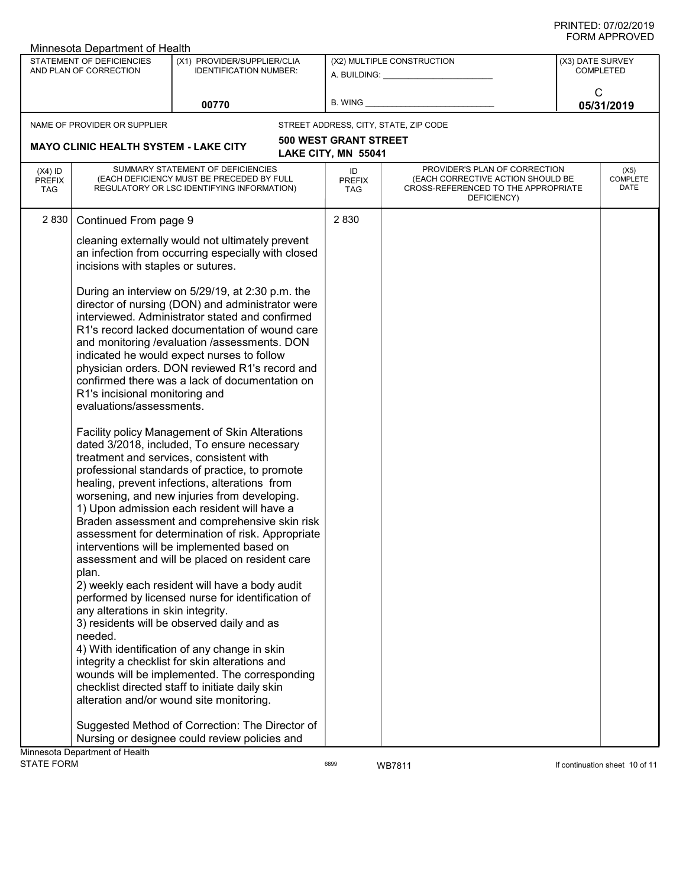| Minnesota Department of Health               |                                                            |                                                                                                                                                                                                                                                                                                                                                                                                                                                                                                                                                                                                                                                                                                                                                                                                                                                                                                                                                                                                            |                                                         |                                                                                                                          |                               |                          |
|----------------------------------------------|------------------------------------------------------------|------------------------------------------------------------------------------------------------------------------------------------------------------------------------------------------------------------------------------------------------------------------------------------------------------------------------------------------------------------------------------------------------------------------------------------------------------------------------------------------------------------------------------------------------------------------------------------------------------------------------------------------------------------------------------------------------------------------------------------------------------------------------------------------------------------------------------------------------------------------------------------------------------------------------------------------------------------------------------------------------------------|---------------------------------------------------------|--------------------------------------------------------------------------------------------------------------------------|-------------------------------|--------------------------|
|                                              | STATEMENT OF DEFICIENCIES<br>AND PLAN OF CORRECTION        | (X1) PROVIDER/SUPPLIER/CLIA<br><b>IDENTIFICATION NUMBER:</b>                                                                                                                                                                                                                                                                                                                                                                                                                                                                                                                                                                                                                                                                                                                                                                                                                                                                                                                                               | (X2) MULTIPLE CONSTRUCTION<br>A. BUILDING: A. BUILDING: |                                                                                                                          | (X3) DATE SURVEY<br>COMPLETED |                          |
|                                              |                                                            | 00770                                                                                                                                                                                                                                                                                                                                                                                                                                                                                                                                                                                                                                                                                                                                                                                                                                                                                                                                                                                                      | <b>B. WING</b>                                          |                                                                                                                          | C                             | 05/31/2019               |
|                                              | NAME OF PROVIDER OR SUPPLIER                               |                                                                                                                                                                                                                                                                                                                                                                                                                                                                                                                                                                                                                                                                                                                                                                                                                                                                                                                                                                                                            |                                                         | STREET ADDRESS, CITY, STATE, ZIP CODE                                                                                    |                               |                          |
| <b>MAYO CLINIC HEALTH SYSTEM - LAKE CITY</b> |                                                            |                                                                                                                                                                                                                                                                                                                                                                                                                                                                                                                                                                                                                                                                                                                                                                                                                                                                                                                                                                                                            | <b>500 WEST GRANT STREET</b><br>LAKE CITY, MN 55041     |                                                                                                                          |                               |                          |
| $(X4)$ ID<br><b>PREFIX</b><br><b>TAG</b>     |                                                            | SUMMARY STATEMENT OF DEFICIENCIES<br>(EACH DEFICIENCY MUST BE PRECEDED BY FULL<br>REGULATORY OR LSC IDENTIFYING INFORMATION)                                                                                                                                                                                                                                                                                                                                                                                                                                                                                                                                                                                                                                                                                                                                                                                                                                                                               | ID<br><b>PREFIX</b><br><b>TAG</b>                       | PROVIDER'S PLAN OF CORRECTION<br>(EACH CORRECTIVE ACTION SHOULD BE<br>CROSS-REFERENCED TO THE APPROPRIATE<br>DEFICIENCY) |                               | (X5)<br>COMPLETE<br>DATE |
| 2 8 3 0                                      | Continued From page 9                                      |                                                                                                                                                                                                                                                                                                                                                                                                                                                                                                                                                                                                                                                                                                                                                                                                                                                                                                                                                                                                            | 2830                                                    |                                                                                                                          |                               |                          |
|                                              | incisions with staples or sutures.                         | cleaning externally would not ultimately prevent<br>an infection from occurring especially with closed                                                                                                                                                                                                                                                                                                                                                                                                                                                                                                                                                                                                                                                                                                                                                                                                                                                                                                     |                                                         |                                                                                                                          |                               |                          |
|                                              | R1's incisional monitoring and<br>evaluations/assessments. | During an interview on 5/29/19, at 2:30 p.m. the<br>director of nursing (DON) and administrator were<br>interviewed. Administrator stated and confirmed<br>R1's record lacked documentation of wound care<br>and monitoring /evaluation /assessments. DON<br>indicated he would expect nurses to follow<br>physician orders. DON reviewed R1's record and<br>confirmed there was a lack of documentation on                                                                                                                                                                                                                                                                                                                                                                                                                                                                                                                                                                                                |                                                         |                                                                                                                          |                               |                          |
|                                              | plan.<br>any alterations in skin integrity.<br>needed.     | Facility policy Management of Skin Alterations<br>dated 3/2018, included, To ensure necessary<br>treatment and services, consistent with<br>professional standards of practice, to promote<br>healing, prevent infections, alterations from<br>worsening, and new injuries from developing.<br>1) Upon admission each resident will have a<br>Braden assessment and comprehensive skin risk<br>assessment for determination of risk. Appropriate<br>interventions will be implemented based on<br>assessment and will be placed on resident care<br>2) weekly each resident will have a body audit<br>performed by licensed nurse for identification of<br>3) residents will be observed daily and as<br>4) With identification of any change in skin<br>integrity a checklist for skin alterations and<br>wounds will be implemented. The corresponding<br>checklist directed staff to initiate daily skin<br>alteration and/or wound site monitoring.<br>Suggested Method of Correction: The Director of |                                                         |                                                                                                                          |                               |                          |
|                                              |                                                            | Nursing or designee could review policies and                                                                                                                                                                                                                                                                                                                                                                                                                                                                                                                                                                                                                                                                                                                                                                                                                                                                                                                                                              |                                                         |                                                                                                                          |                               |                          |
|                                              | Minnesota Department of Health                             |                                                                                                                                                                                                                                                                                                                                                                                                                                                                                                                                                                                                                                                                                                                                                                                                                                                                                                                                                                                                            |                                                         |                                                                                                                          |                               |                          |